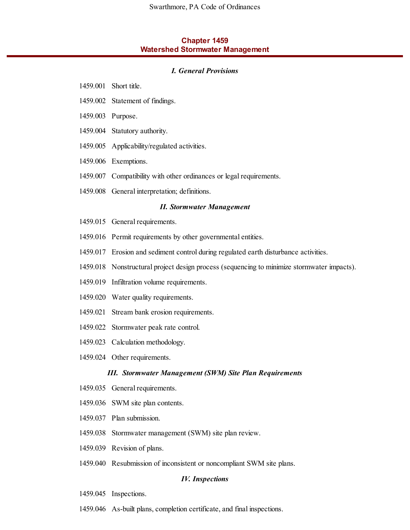### **Chapter 1459 Watershed Stormwater Management**

#### *I. General Provisions*

- 1459.001 Short title.
- 1459.002 Statement of findings.
- 1459.003 Purpose.
- 1459.004 Statutory authority.
- 1459.005 Applicability/regulated activities.
- 1459.006 Exemptions.
- 1459.007 Compatibility with other ordinances or legal requirements.
- 1459.008 General interpretation; definitions.

#### *II. Stormwater Management*

- 1459.015 General requirements.
- 1459.016 Permit requirements by other governmental entities.
- 1459.017 Erosion and sediment control during regulated earth disturbance activities.
- 1459.018 Nonstructural project design process (sequencing to minimize stormwater impacts).
- 1459.019 Infiltration volume requirements.
- 1459.020 Water quality requirements.
- 1459.021 Stream bank erosion requirements.
- 1459.022 Stormwater peak rate control.
- 1459.023 Calculation methodology.
- 1459.024 Other requirements.

#### *III. Stormwater Management (SWM) Site Plan Requirements*

- 1459.035 General requirements.
- 1459.036 SWM site plan contents.
- 1459.037 Plan submission.
- 1459.038 Stormwater management (SWM) site plan review.
- 1459.039 Revision of plans.
- 1459.040 Resubmission of inconsistent or noncompliant SWM site plans.

#### *IV. Inspections*

- 1459.045 Inspections.
- 1459.046 As-built plans, completion certificate, and final inspections.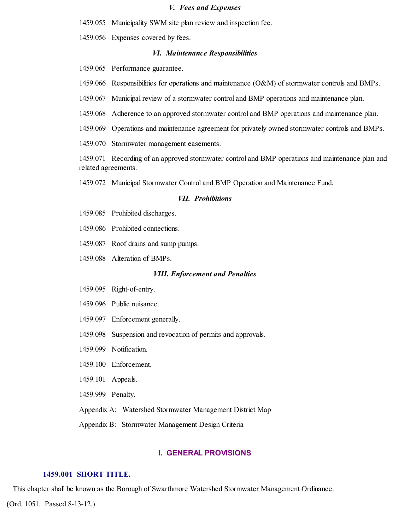#### *V. Fees and Expenses*

- 1459.055 Municipality SWM site plan review and inspection fee.
- 1459.056 Expenses covered by fees.

#### *VI. Maintenance Responsibilities*

- 1459.065 Performance guarantee.
- 1459.066 Responsibilities for operations and maintenance (O&M) of stormwater controls and BMPs.
- 1459.067 Municipal review of a stormwater control and BMP operations and maintenance plan.
- 1459.068 Adherence to an approved stormwater control and BMP operations and maintenance plan.
- 1459.069 Operations and maintenance agreement for privately owned stormwater controls and BMPs.
- 1459.070 Stormwater management easements.

1459.071 Recording of an approved stormwater control and BMP operations and maintenance plan and related agreements.

1459.072 Municipal Stormwater Control and BMP Operation and Maintenance Fund.

#### *VII. Prohibitions*

- 1459.085 Prohibited discharges.
- 1459.086 Prohibited connections.
- 1459.087 Roof drains and sump pumps.
- 1459.088 Alteration of BMPs.

#### *VIII. Enforcement and Penalties*

- 1459.095 Right-of-entry.
- 1459.096 Public nuisance.
- 1459.097 Enforcement generally.
- 1459.098 Suspension and revocation of permits and approvals.
- 1459.099 Notification.
- 1459.100 Enforcement.
- 1459.101 Appeals.
- 1459.999 Penalty.
- Appendix A: Watershed Stormwater Management District Map
- Appendix B: Stormwater Management Design Criteria

### **I. GENERAL PROVISIONS**

#### **1459.001 SHORT TITLE.**

This chapter shall be known as the Borough of Swarthmore Watershed Stormwater Management Ordinance.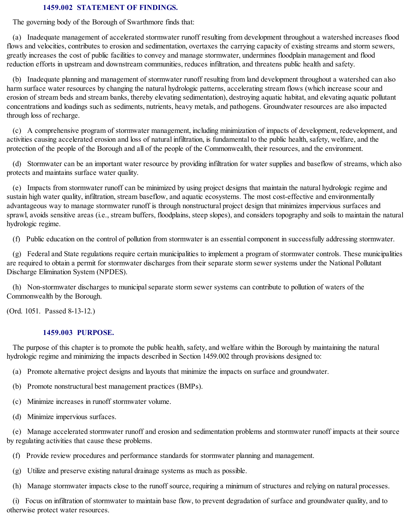### **1459.002 STATEMENT OF FINDINGS.**

The governing body of the Borough of Swarthmore finds that:

(a) Inadequate management of accelerated stormwater runoff resulting from development throughout a watershed increases flood flows and velocities, contributes to erosion and sedimentation, overtaxes the carrying capacity of existing streams and storm sewers, greatly increases the cost of public facilities to convey and manage stormwater, undermines floodplain management and flood reduction efforts in upstream and downstream communities, reduces infiltration, and threatens public health and safety.

(b) Inadequate planning and management of stormwater runoff resulting from land development throughout a watershed can also harm surface water resources by changing the natural hydrologic patterns, accelerating stream flows (which increase scour and erosion of stream beds and stream banks, thereby elevating sedimentation), destroying aquatic habitat, and elevating aquatic pollutant concentrations and loadings such as sediments, nutrients, heavy metals, and pathogens. Groundwater resources are also impacted through loss of recharge.

(c) A comprehensive program of stormwater management, including minimization of impacts of development, redevelopment, and activities causing accelerated erosion and loss of natural infiltration, is fundamental to the public health, safety, welfare, and the protection of the people of the Borough and all of the people of the Commonwealth, their resources, and the environment.

(d) Stormwater can be an important water resource by providing infiltration for water supplies and baseflow of streams, which also protects and maintains surface water quality.

(e) Impacts from stormwater runoff can be minimized by using project designs that maintain the natural hydrologic regime and sustain high water quality, infiltration, stream baseflow, and aquatic ecosystems. The most cost-effective and environmentally advantageous way to manage stormwater runoff is through nonstructural project design that minimizes impervious surfaces and sprawl, avoids sensitive areas (i.e., stream buffers, floodplains, steep slopes), and considers topography and soils to maintain the natural hydrologic regime.

(f) Public education on the control of pollution from stormwater is an essential component in successfully addressing stormwater.

(g) Federal and State regulations require certain municipalities to implement a program of stormwater controls. These municipalities are required to obtain a permit for stormwater discharges from their separate storm sewer systems under the National Pollutant Discharge Elimination System (NPDES).

(h) Non-stormwater discharges to municipal separate storm sewer systems can contribute to pollution of waters of the Commonwealth by the Borough.

(Ord. 1051. Passed 8-13-12.)

### **1459.003 PURPOSE.**

The purpose of this chapter is to promote the public health, safety, and welfare within the Borough by maintaining the natural hydrologic regime and minimizing the impacts described in Section 1459.002 through provisions designed to:

- (a) Promote alternative project designs and layouts that minimize the impacts on surface and groundwater.
- (b) Promote nonstructural best management practices (BMPs).
- (c) Minimize increases in runoff stormwater volume.
- (d) Minimize impervious surfaces.

(e) Manage accelerated stormwater runoff and erosion and sedimentation problems and stormwater runoff impacts at their source by regulating activities that cause these problems.

- (f) Provide review procedures and performance standards for stormwater planning and management.
- (g) Utilize and preserve existing natural drainage systems as much as possible.
- (h) Manage stormwater impacts close to the runoff source, requiring a minimum of structures and relying on natural processes.

(i) Focus on infiltration of stormwater to maintain base flow, to prevent degradation of surface and groundwater quality, and to otherwise protect water resources.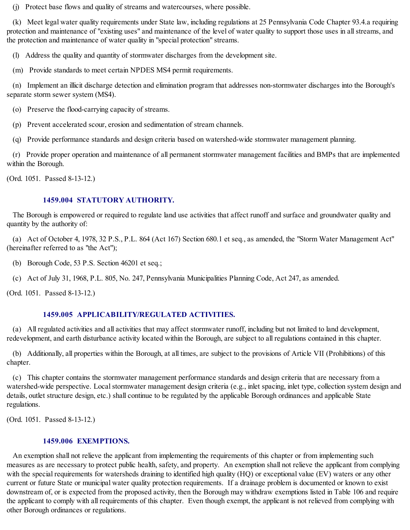(j) Protect base flows and quality of streams and watercourses, where possible.

(k) Meet legal water quality requirements under State law, including regulations at 25 Pennsylvania Code Chapter 93.4.a requiring protection and maintenance of "existing uses" and maintenance of the level of water quality to support those uses in allstreams, and the protection and maintenance of water quality in "special protection" streams.

(l) Address the quality and quantity of stormwater discharges from the development site.

(m) Provide standards to meet certain NPDES MS4 permit requirements.

(n) Implement an illicit discharge detection and elimination program that addresses non-stormwater discharges into the Borough's separate storm sewer system (MS4).

(o) Preserve the flood-carrying capacity of streams.

(p) Prevent accelerated scour, erosion and sedimentation of stream channels.

(q) Provide performance standards and design criteria based on watershed-wide stormwater management planning.

(r) Provide proper operation and maintenance of all permanent stormwater management facilities and BMPs that are implemented within the Borough.

(Ord. 1051. Passed 8-13-12.)

### **1459.004 STATUTORY AUTHORITY.**

The Borough is empowered or required to regulate land use activities that affect runoff and surface and groundwater quality and quantity by the authority of:

(a) Act of October 4, 1978, 32 P.S., P.L. 864 (Act 167) Section 680.1 et seq., as amended, the "Storm Water Management Act" (hereinafter referred to as "the Act");

(b) Borough Code, 53 P.S. Section 46201 et seq.;

(c) Act of July 31, 1968, P.L. 805, No. 247, Pennsylvania Municipalities Planning Code, Act 247, as amended.

(Ord. 1051. Passed 8-13-12.)

### **1459.005 APPLICABILITY/REGULATED ACTIVITIES.**

(a) All regulated activities and all activities that may affect stormwater runoff, including but not limited to land development, redevelopment, and earth disturbance activity located within the Borough, are subject to all regulations contained in this chapter.

(b) Additionally, all properties within the Borough, at all times, are subject to the provisions of Article VII (Prohibitions) of this chapter.

(c) This chapter contains the stormwater management performance standards and design criteria that are necessary from a watershed-wide perspective. Local stormwater management design criteria (e.g., inlet spacing, inlet type, collection system design and details, outlet structure design, etc.) shall continue to be regulated by the applicable Borough ordinances and applicable State regulations.

(Ord. 1051. Passed 8-13-12.)

### **1459.006 EXEMPTIONS.**

An exemption shall not relieve the applicant from implementing the requirements of this chapter or from implementing such measures as are necessary to protect public health, safety, and property. An exemption shall not relieve the applicant from complying with the special requirements for watersheds draining to identified high quality (HQ) or exceptional value (EV) waters or any other current or future State or municipal water quality protection requirements. If a drainage problem is documented or known to exist downstream of, or is expected from the proposed activity, then the Borough may withdraw exemptions listed in Table 106 and require the applicant to comply with all requirements of this chapter. Even though exempt, the applicant is not relieved from complying with other Borough ordinances or regulations.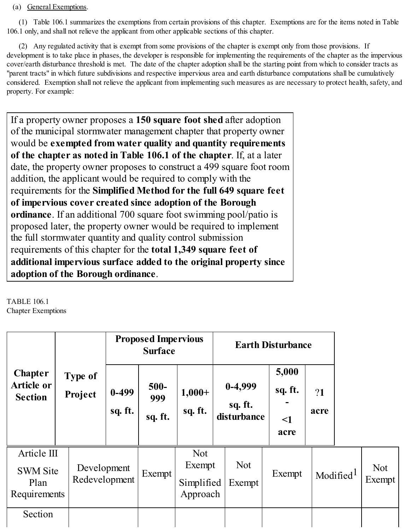# (a) General Exemptions.

(1) Table 106.1 summarizes the exemptions from certain provisions of this chapter. Exemptions are for the items noted in Table 106.1 only, and shall not relieve the applicant from other applicable sections of this chapter.

(2) Any regulated activity that is exempt from some provisions of the chapter is exempt only from those provisions. If development is to take place in phases, the developer is responsible for implementing the requirements of the chapter as the impervious cover/earth disturbance threshold is met. The date of the chapter adoption shall be the starting point from which to consider tracts as "parent tracts" in which future subdivisions and respective impervious area and earth disturbance computations shall be cumulatively considered. Exemption shall not relieve the applicant from implementing such measures as are necessary to protect health, safety, and property. For example:

If a property owner proposes a **150 square foot shed** after adoption of the municipal stormwater management chapter that property owner would be **exempted from water quality and quantity requirements of the chapter as noted in Table 106.1 of the chapter**. If, at a later date, the property owner proposes to construct a 499 square foot room addition, the applicant would be required to comply with the requirements for the **Simplified Method for the full 649 square feet of impervious cover created since adoption of the Borough ordinance**. If an additional 700 square foot swimming pool/patio is proposed later, the property owner would be required to implement the full stormwater quantity and quality control submission requirements of this chapter for the **total 1,349 square feet of additional impervious surface added to the original property since adoption of the Borough ordinance**.

TABLE 106.1 Chapter Exemptions

|                                                        |  |                              | <b>Proposed Impervious</b><br><b>Surface</b> |                          |                                                | <b>Earth Disturbance</b> |                                     |                                      |            |          |                      |
|--------------------------------------------------------|--|------------------------------|----------------------------------------------|--------------------------|------------------------------------------------|--------------------------|-------------------------------------|--------------------------------------|------------|----------|----------------------|
| <b>Chapter</b><br><b>Article or</b><br><b>Section</b>  |  | Type of<br>Project           | $0 - 499$<br>sq. ft.                         | $500-$<br>999<br>sq. ft. | $1,000+$<br>sq. ft.                            |                          | $0-4,999$<br>sq. ft.<br>disturbance | 5,000<br>sq. ft.<br>$\leq$ 1<br>acre | ?1<br>acre |          |                      |
| Article III<br><b>SWM Site</b><br>Plan<br>Requirements |  | Development<br>Redevelopment |                                              | Exempt                   | <b>Not</b><br>Exempt<br>Simplified<br>Approach |                          | <b>Not</b><br>Exempt                | Exempt                               |            | Modified | <b>Not</b><br>Exempt |
| Section                                                |  |                              |                                              |                          |                                                |                          |                                     |                                      |            |          |                      |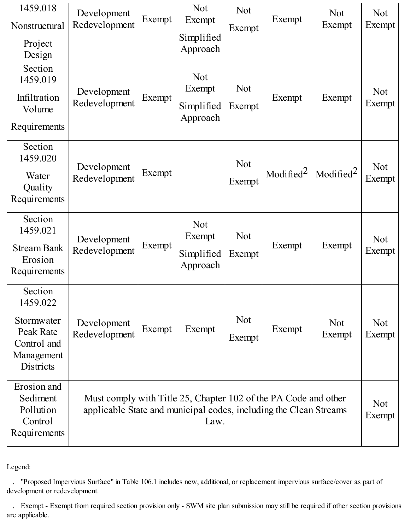| 1459.018<br>Nonstructural<br>Project<br>Design                                                                                                                                                                  | Development<br>Redevelopment | Exempt | <b>Not</b><br>Exempt<br>Simplified<br>Approach | <b>Not</b><br>Exempt | Exempt       | <b>Not</b><br>Exempt | <b>Not</b><br>Exempt |
|-----------------------------------------------------------------------------------------------------------------------------------------------------------------------------------------------------------------|------------------------------|--------|------------------------------------------------|----------------------|--------------|----------------------|----------------------|
| Section<br>1459.019<br>Infiltration<br>Volume<br>Requirements                                                                                                                                                   | Development<br>Redevelopment | Exempt | <b>Not</b><br>Exempt<br>Simplified<br>Approach | <b>Not</b><br>Exempt | Exempt       | Exempt               | <b>Not</b><br>Exempt |
| Section<br>1459.020<br>Water<br>Quality<br>Requirements                                                                                                                                                         | Development<br>Redevelopment | Exempt |                                                | <b>Not</b><br>Exempt | Modified $2$ | Modified $2$         | <b>Not</b><br>Exempt |
| Section<br>1459.021<br><b>Stream Bank</b><br>Erosion<br>Requirements                                                                                                                                            | Development<br>Redevelopment | Exempt | <b>Not</b><br>Exempt<br>Simplified<br>Approach | <b>Not</b><br>Exempt | Exempt       | Exempt               | <b>Not</b><br>Exempt |
| Section<br>1459.022<br>Stormwater<br>Peak Rate<br>Control and<br>Management<br>Districts                                                                                                                        | Development<br>Redevelopment | Exempt | Exempt                                         | <b>Not</b><br>Exempt | Exempt       | <b>Not</b><br>Exempt | <b>Not</b><br>Exempt |
| Erosion and<br>Sediment<br>Must comply with Title 25, Chapter 102 of the PA Code and other<br>Pollution<br>applicable State and municipal codes, including the Clean Streams<br>Control<br>Law.<br>Requirements |                              |        |                                                |                      |              | <b>Not</b><br>Exempt |                      |

Legend:

. "Proposed Impervious Surface" in Table 106.1 includes new, additional, or replacement impervious surface/cover as part of development or redevelopment.

. Exempt - Exempt from required section provision only - SWM site plan submission may still be required if other section provisions are applicable.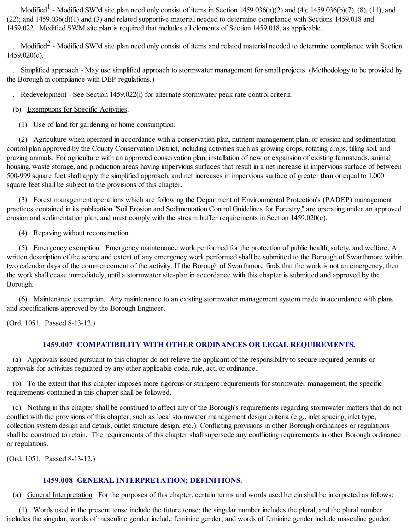Modified<sup>1</sup> - Modified SWM site plan need only consist of items in Section 1459.036(a)(2) and (4); 1459.036(b)(7), (8), (11), and (22); and 1459.036(d)(1) and (3) and related supportive material needed to determine compliance with Sections 1459.018 and 1459.022. Modified SWM site plan is required that includes all elements of Section 1459.018, as applicable.

Modified<sup>2</sup> - Modified SWM site plan need only consist of items and related material needed to determine compliance with Section 1459.020(c).

. Simplified approach - May use simplified approach to stormwater management for small projects. (Methodology to be provided by the Borough in compliance with DEP regulations.)

. Redevelopment - See Section 1459.022(i) for alternate stormwater peak rate control criteria.

(b) Exemptions for Specific Activities.

(1) Use of land for gardening or home consumption.

(2) Agriculture when operated in accordance with a conservation plan, nutrient management plan, or erosion and sedimentation control plan approved by the County Conservation District, including activities such as growing crops, rotating crops, tilling soil, and grazing animals. For agriculture with an approved conservation plan, installation of new or expansion of existing farmsteads, animal housing, waste storage, and production areas having impervious surfaces that result in a net increase in impervious surface of between 500-999 square feet shall apply the simplified approach, and net increases in impervious surface of greater than or equal to 1,000 square feet shall be subject to the provisions of this chapter.

(3) Forest management operations which are following the Department of Environmental Protection's (PADEP) management practices contained in its publication "Soil Erosion and Sedimentation Control Guidelines for Forestry," are operating under an approved erosion and sedimentation plan, and must comply with the stream buffer requirements in Section 1459.020(c).

(4) Repaving without reconstruction.

(5) Emergency exemption. Emergency maintenance work performed for the protection of public health, safety, and welfare. A written description of the scope and extent of any emergency work performed shall be submitted to the Borough of Swarthmore within two calendar days of the commencement of the activity. If the Borough of Swarthmore finds that the work is not an emergency, then the work shall cease immediately, until a stormwater site-plan in accordance with this chapter is submitted and approved by the Borough.

(6) Maintenance exemption. Any maintenance to an existing stormwater management system made in accordance with plans and specifications approved by the Borough Engineer.

(Ord. 1051. Passed 8-13-12.)

# **1459.007 COMPATIBILITY WITH OTHER ORDINANCES OR LEGAL REQUIREMENTS.**

(a) Approvals issued pursuant to this chapter do not relieve the applicant of the responsibility to secure required permits or approvals for activities regulated by any other applicable code, rule, act, or ordinance.

(b) To the extent that this chapter imposes more rigorous or stringent requirements for stormwater management, the specific requirements contained in this chapter shall be followed.

(c) Nothing in this chapter shall be construed to affect any of the Borough's requirements regarding stormwater matters that do not conflict with the provisions of this chapter, such as localstormwater management design criteria (e.g., inlet spacing, inlet type, collection system design and details, outlet structure design, etc.). Conflicting provisions in other Borough ordinances or regulations shall be construed to retain. The requirements of this chapter shall supersede any conflicting requirements in other Borough ordinance or regulations.

(Ord. 1051. Passed 8-13-12.)

# **1459.008 GENERAL INTERPRETATION; DEFINITIONS.**

(a) General Interpretation. For the purposes of this chapter, certain terms and words used herein shall be interpreted as follows:

(1) Words used in the present tense include the future tense; the singular number includes the plural, and the plural number includes the singular; words of masculine gender include feminine gender; and words of feminine gender include masculine gender.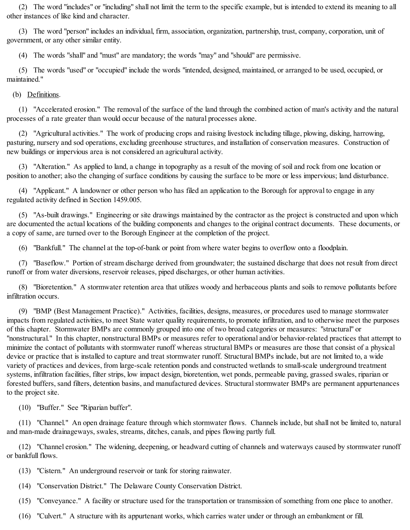(2) The word "includes" or "including" shall not limit the term to the specific example, but is intended to extend its meaning to all other instances of like kind and character.

(3) The word "person" includes an individual, firm, association, organization, partnership, trust, company, corporation, unit of government, or any other similar entity.

(4) The words "shall" and "must" are mandatory; the words "may" and "should" are permissive.

(5) The words "used" or "occupied" include the words "intended, designed, maintained, or arranged to be used, occupied, or maintained."

(b) Definitions.

(1) "Accelerated erosion." The removal of the surface of the land through the combined action of man's activity and the natural processes of a rate greater than would occur because of the natural processes alone.

(2) "Agricultural activities." The work of producing crops and raising livestock including tillage, plowing, disking, harrowing, pasturing, nursery and sod operations, excluding greenhouse structures, and installation of conservation measures. Construction of new buildings or impervious area is not considered an agricultural activity.

(3) "Alteration." As applied to land, a change in topography as a result of the moving of soil and rock from one location or position to another; also the changing of surface conditions by causing the surface to be more or less impervious; land disturbance.

(4) "Applicant." A landowner or other person who has filed an application to the Borough for approval to engage in any regulated activity defined in Section 1459.005.

(5) "As-built drawings." Engineering or site drawings maintained by the contractor as the project is constructed and upon which are documented the actual locations of the building components and changes to the original contract documents. These documents, or a copy of same, are turned over to the Borough Engineer at the completion of the project.

(6) "Bankfull." The channel at the top-of-bank or point from where water begins to overflow onto a floodplain.

(7) "Baseflow." Portion of stream discharge derived from groundwater; the sustained discharge that does not result from direct runoff or from water diversions, reservoir releases, piped discharges, or other human activities.

(8) "Bioretention." A stormwater retention area that utilizes woody and herbaceous plants and soils to remove pollutants before infiltration occurs.

(9) "BMP (Best Management Practice)." Activities, facilities, designs, measures, or procedures used to manage stormwater impacts from regulated activities, to meet State water quality requirements, to promote infiltration, and to otherwise meet the purposes of this chapter. Stormwater BMPs are commonly grouped into one of two broad categories or measures: "structural" or "nonstructural." In this chapter, nonstructural BMPs or measures refer to operational and/or behavior-related practices that attempt to minimize the contact of pollutants with stormwater runoff whereas structural BMPs or measures are those that consist of a physical device or practice that is installed to capture and treat stormwater runoff. Structural BMPs include, but are not limited to, a wide variety of practices and devices, from large-scale retention ponds and constructed wetlands to small-scale underground treatment systems, infiltration facilities, filter strips, low impact design, bioretention, wet ponds, permeable paving, grassed swales, riparian or forested buffers, sand filters, detention basins, and manufactured devices. Structural stormwater BMPs are permanent appurtenances to the project site.

(10) "Buffer." See "Riparian buffer".

(11) "Channel." An open drainage feature through which stormwater flows. Channels include, but shall not be limited to, natural and man-made drainageways, swales, streams, ditches, canals, and pipes flowing partly full.

(12) "Channel erosion." The widening, deepening, or headward cutting of channels and waterways caused by stormwater runoff or bankfull flows.

(13) "Cistern." An underground reservoir or tank for storing rainwater.

(14) "Conservation District." The Delaware County Conservation District.

(15) "Conveyance." A facility or structure used for the transportation or transmission of something from one place to another.

(16) "Culvert." A structure with its appurtenant works, which carries water under or through an embankment or fill.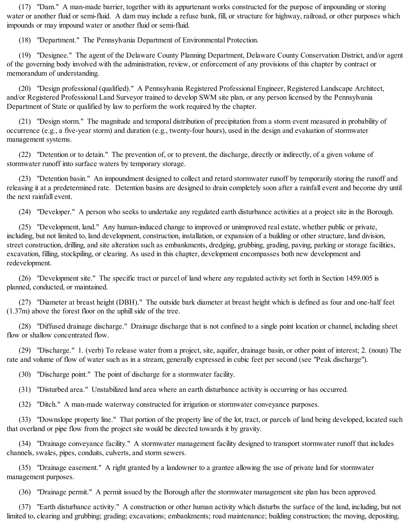(17) "Dam." A man-made barrier, together with its appurtenant works constructed for the purpose of impounding or storing water or another fluid or semi-fluid. A dam may include a refuse bank, fill, or structure for highway, railroad, or other purposes which impounds or may impound water or another fluid or semi-fluid.

(18) "Department." The Pennsylvania Department of Environmental Protection.

(19) "Designee." The agent of the Delaware County Planning Department, Delaware County Conservation District, and/or agent of the governing body involved with the administration, review, or enforcement of any provisions of this chapter by contract or memorandum of understanding.

(20) "Design professional (qualified)." A Pennsylvania Registered Professional Engineer, Registered Landscape Architect, and/or Registered Professional Land Surveyor trained to develop SWM site plan, or any person licensed by the Pennsylvania Department of State or qualified by law to perform the work required by the chapter.

(21) "Design storm." The magnitude and temporal distribution of precipitation from a storm event measured in probability of occurrence (e.g., a five-year storm) and duration (e.g., twenty-four hours), used in the design and evaluation of stormwater management systems.

(22) "Detention or to detain." The prevention of, or to prevent, the discharge, directly or indirectly, of a given volume of stormwater runoff into surface waters by temporary storage.

(23) "Detention basin." An impoundment designed to collect and retard stormwater runoff by temporarily storing the runoff and releasing it at a predetermined rate. Detention basins are designed to drain completely soon after a rainfall event and become dry until the next rainfall event.

(24) "Developer." A person who seeks to undertake any regulated earth disturbance activities at a project site in the Borough.

(25) "Development, land." Any human-induced change to improved or unimproved real estate, whether public or private, including, but not limited to, land development, construction, installation, or expansion of a building or other structure, land division, street construction, drilling, and site alteration such as embankments, dredging, grubbing, grading, paving, parking or storage facilities, excavation, filling, stockpiling, or clearing. As used in this chapter, development encompasses both new development and redevelopment.

(26) "Development site." The specific tract or parcel of land where any regulated activity set forth in Section 1459.005 is planned, conducted, or maintained.

(27) "Diameter at breast height (DBH)." The outside bark diameter at breast height which is defined as four and one-half feet (1.37m) above the forest floor on the uphillside of the tree.

(28) "Diffused drainage discharge." Drainage discharge that is not confined to a single point location or channel, including sheet flow or shallow concentrated flow.

(29) "Discharge." 1. (verb) To release water from a project, site, aquifer, drainage basin, or other point of interest; 2. (noun) The rate and volume of flow of water such as in a stream, generally expressed in cubic feet per second (see "Peak discharge").

(30) "Discharge point." The point of discharge for a stormwater facility.

(31) "Disturbed area." Unstabilized land area where an earth disturbance activity is occurring or has occurred.

(32) "Ditch." A man-made waterway constructed for irrigation or stormwater conveyance purposes.

(33) "Downslope property line." That portion of the property line of the lot, tract, or parcels of land being developed, located such that overland or pipe flow from the project site would be directed towards it by gravity.

(34) "Drainage conveyance facility." A stormwater management facility designed to transport stormwater runoff that includes channels, swales, pipes, conduits, culverts, and storm sewers.

(35) "Drainage easement." A right granted by a landowner to a grantee allowing the use of private land for stormwater management purposes.

(36) "Drainage permit." A permit issued by the Borough after the stormwater management site plan has been approved.

(37) "Earth disturbance activity." A construction or other human activity which disturbs the surface of the land, including, but not limited to, clearing and grubbing; grading; excavations; embankments; road maintenance; building construction; the moving, depositing,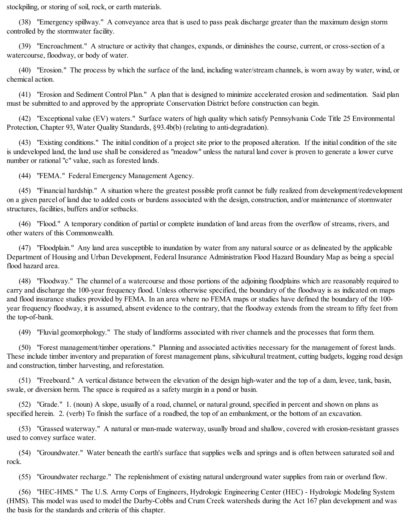stockpiling, or storing of soil, rock, or earth materials.

(38) "Emergency spillway." A conveyance area that is used to pass peak discharge greater than the maximum design storm controlled by the stormwater facility.

(39) "Encroachment." A structure or activity that changes, expands, or diminishes the course, current, or cross-section of a watercourse, floodway, or body of water.

(40) "Erosion." The process by which the surface of the land, including water/stream channels, is worn away by water, wind, or chemical action.

(41) "Erosion and Sediment Control Plan." A plan that is designed to minimize accelerated erosion and sedimentation. Said plan must be submitted to and approved by the appropriate Conservation District before construction can begin.

(42) "Exceptional value (EV) waters." Surface waters of high quality which satisfy Pennsylvania Code Title 25 Environmental Protection, Chapter 93, Water Quality Standards, §93.4b(b) (relating to anti-degradation).

(43) "Existing conditions." The initial condition of a project site prior to the proposed alteration. If the initial condition of the site is undeveloped land, the land use shall be considered as "meadow" unless the natural land cover is proven to generate a lower curve number or rational "c" value, such as forested lands.

(44) "FEMA." Federal Emergency Management Agency.

(45) "Financial hardship." A situation where the greatest possible profit cannot be fully realized from development/redevelopment on a given parcel of land due to added costs or burdens associated with the design, construction, and/or maintenance of stormwater structures, facilities, buffers and/or setbacks.

(46) "Flood." A temporary condition of partial or complete inundation of land areas from the overflow of streams, rivers, and other waters of this Commonwealth.

(47) "Floodplain." Any land area susceptible to inundation by water from any naturalsource or as delineated by the applicable Department of Housing and Urban Development, Federal Insurance Administration Flood Hazard Boundary Map as being a special flood hazard area.

(48) "Floodway." The channel of a watercourse and those portions of the adjoining floodplains which are reasonably required to carry and discharge the 100-year frequency flood. Unless otherwise specified, the boundary of the floodway is as indicated on maps and flood insurance studies provided by FEMA. In an area where no FEMA maps or studies have defined the boundary of the 100 year frequency floodway, it is assumed, absent evidence to the contrary, that the floodway extends from the stream to fifty feet from the top-of-bank.

(49) "Fluvial geomorphology." The study of landforms associated with river channels and the processes that form them.

(50) "Forest management/timber operations." Planning and associated activities necessary for the management of forest lands. These include timber inventory and preparation of forest management plans, silvicultural treatment, cutting budgets, logging road design and construction, timber harvesting, and reforestation.

(51) "Freeboard." A vertical distance between the elevation of the design high-water and the top of a dam, levee, tank, basin, swale, or diversion berm. The space is required as a safety margin in a pond or basin.

(52) "Grade." 1. (noun) A slope, usually of a road, channel, or natural ground, specified in percent and shown on plans as specified herein. 2. (verb) To finish the surface of a roadbed, the top of an embankment, or the bottom of an excavation.

(53) "Grassed waterway." A natural or man-made waterway, usually broad and shallow, covered with erosion-resistant grasses used to convey surface water.

(54) "Groundwater." Water beneath the earth's surface that supplies wells and springs and is often between saturated soil and rock.

(55) "Groundwater recharge." The replenishment of existing natural underground water supplies from rain or overland flow.

(56) "HEC-HMS." The U.S. Army Corps of Engineers, Hydrologic Engineering Center (HEC) - Hydrologic Modeling System (HMS). This model was used to model the Darby-Cobbs and Crum Creek watersheds during the Act 167 plan development and was the basis for the standards and criteria of this chapter.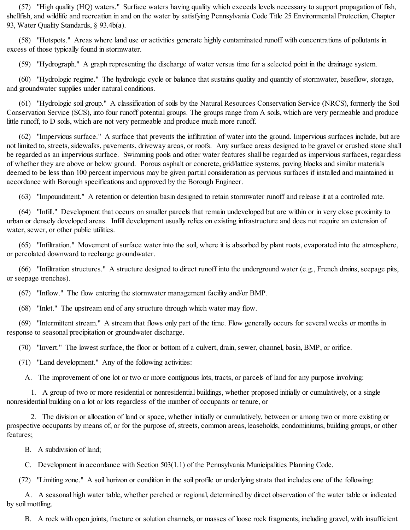(57) "High quality (HQ) waters." Surface waters having quality which exceeds levels necessary to support propagation of fish, shellfish, and wildlife and recreation in and on the water by satisfying Pennsylvania Code Title 25 Environmental Protection, Chapter 93, Water Quality Standards, § 93.4b(a).

(58) "Hotspots." Areas where land use or activities generate highly contaminated runoff with concentrations of pollutants in excess of those typically found in stormwater.

(59) "Hydrograph." A graph representing the discharge of water versus time for a selected point in the drainage system.

(60) "Hydrologic regime." The hydrologic cycle or balance that sustains quality and quantity of stormwater, baseflow, storage, and groundwater supplies under natural conditions.

(61) "Hydrologic soil group." A classification of soils by the Natural Resources Conservation Service (NRCS), formerly the Soil Conservation Service (SCS), into four runoff potential groups. The groups range from A soils, which are very permeable and produce little runoff, to D soils, which are not very permeable and produce much more runoff.

(62) "Impervious surface." A surface that prevents the infiltration of water into the ground. Impervious surfaces include, but are not limited to, streets, sidewalks, pavements, driveway areas, or roofs. Any surface areas designed to be gravel or crushed stone shall be regarded as an impervious surface. Swimming pools and other water features shall be regarded as impervious surfaces, regardless of whether they are above or below ground. Porous asphalt or concrete, grid/lattice systems, paving blocks and similar materials deemed to be less than 100 percent impervious may be given partial consideration as pervious surfaces if installed and maintained in accordance with Borough specifications and approved by the Borough Engineer.

(63) "Impoundment." A retention or detention basin designed to retain stormwater runoff and release it at a controlled rate.

(64) "Infill." Development that occurs on smaller parcels that remain undeveloped but are within or in very close proximity to urban or densely developed areas. Infill development usually relies on existing infrastructure and does not require an extension of water, sewer, or other public utilities.

(65) "Infiltration." Movement of surface water into the soil, where it is absorbed by plant roots, evaporated into the atmosphere, or percolated downward to recharge groundwater.

(66) "Infiltration structures." A structure designed to direct runoff into the underground water (e.g., French drains, seepage pits, or seepage trenches).

(67) "Inflow." The flow entering the stormwater management facility and/or BMP.

(68) "Inlet." The upstream end of any structure through which water may flow.

(69) "Intermittent stream." A stream that flows only part of the time. Flow generally occurs for several weeks or months in response to seasonal precipitation or groundwater discharge.

(70) "Invert." The lowest surface, the floor or bottom of a culvert, drain, sewer, channel, basin, BMP, or orifice.

(71) "Land development." Any of the following activities:

A. The improvement of one lot or two or more contiguous lots, tracts, or parcels of land for any purpose involving:

1. A group of two or more residential or nonresidential buildings, whether proposed initially or cumulatively, or a single nonresidential building on a lot or lots regardless of the number of occupants or tenure, or

2. The division or allocation of land or space, whether initially or cumulatively, between or among two or more existing or prospective occupants by means of, or for the purpose of, streets, common areas, leaseholds, condominiums, building groups, or other features;

B. A subdivision of land;

C. Development in accordance with Section 503(1.1) of the Pennsylvania Municipalities Planning Code.

(72) "Limiting zone." A soil horizon or condition in the soil profile or underlying strata that includes one of the following:

A. A seasonal high water table, whether perched or regional, determined by direct observation of the water table or indicated by soil mottling.

B. A rock with open joints, fracture or solution channels, or masses of loose rock fragments, including gravel, with insufficient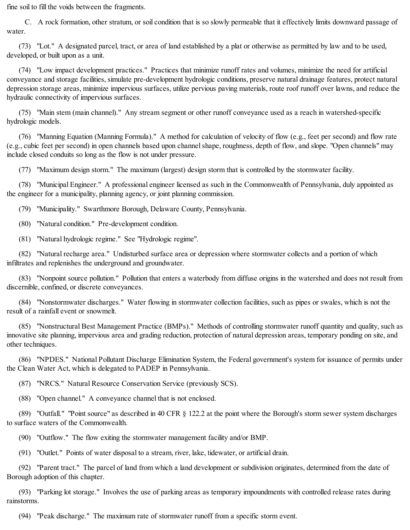fine soil to fill the voids between the fragments.

C. A rock formation, other stratum, or soil condition that is so slowly permeable that it effectively limits downward passage of water.

(73) "Lot." A designated parcel, tract, or area of land established by a plat or otherwise as permitted by law and to be used, developed, or built upon as a unit.

(74) "Low impact development practices." Practices that minimize runoff rates and volumes, minimize the need for artificial conveyance and storage facilities, simulate pre-development hydrologic conditions, preserve natural drainage features, protect natural depression storage areas, minimize impervious surfaces, utilize pervious paving materials, route roof runoff over lawns, and reduce the hydraulic connectivity of impervious surfaces.

(75) "Main stem (main channel)." Any stream segment or other runoff conveyance used as a reach in watershed-specific hydrologic models.

(76) "Manning Equation (Manning Formula)." A method for calculation of velocity of flow (e.g., feet per second) and flow rate (e.g., cubic feet per second) in open channels based upon channelshape, roughness, depth of flow, and slope. "Open channels" may include closed conduits so long as the flow is not under pressure.

(77) "Maximum design storm." The maximum (largest) design storm that is controlled by the stormwater facility.

(78) "Municipal Engineer." A professional engineer licensed as such in the Commonwealth of Pennsylvania, duly appointed as the engineer for a municipality, planning agency, or joint planning commission.

(79) "Municipality." Swarthmore Borough, Delaware County, Pennsylvania.

(80) "Natural condition." Pre-development condition.

(81) "Natural hydrologic regime." See "Hydrologic regime".

(82) "Natural recharge area." Undisturbed surface area or depression where stormwater collects and a portion of which infiltrates and replenishes the underground and groundwater.

(83) "Nonpoint source pollution." Pollution that enters a waterbody from diffuse origins in the watershed and does not result from discernible, confined, or discrete conveyances.

(84) "Nonstormwater discharges." Water flowing in stormwater collection facilities, such as pipes or swales, which is not the result of a rainfall event or snowmelt.

(85) "Nonstructural Best Management Practice (BMPs)." Methods of controlling stormwater runoff quantity and quality, such as innovative site planning, impervious area and grading reduction, protection of natural depression areas, temporary ponding on site, and other techniques.

(86) "NPDES." National Pollutant Discharge Elimination System, the Federal government's system for issuance of permits under the Clean Water Act, which is delegated to PADEP in Pennsylvania.

(87) "NRCS." Natural Resource Conservation Service (previously SCS).

(88) "Open channel." A conveyance channel that is not enclosed.

(89) "Outfall." "Point source" as described in 40 CFR § 122.2 at the point where the Borough's storm sewer system discharges to surface waters of the Commonwealth.

(90) "Outflow." The flow exiting the stormwater management facility and/or BMP.

(91) "Outlet." Points of water disposal to a stream, river, lake, tidewater, or artificial drain.

(92) "Parent tract." The parcel of land from which a land development or subdivision originates, determined from the date of Borough adoption of this chapter.

(93) "Parking lot storage." Involves the use of parking areas as temporary impoundments with controlled release rates during rainstorms.

(94) "Peak discharge." The maximum rate of stormwater runoff from a specific storm event.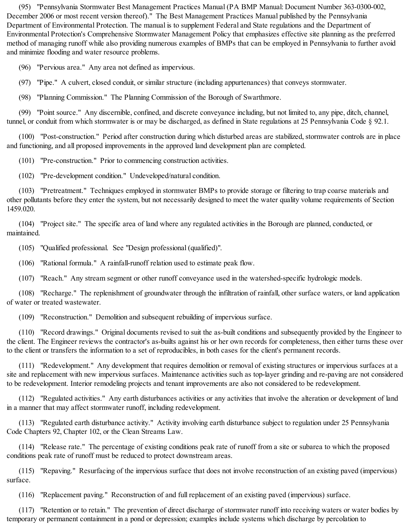(95) "Pennsylvania Stormwater Best Management Practices Manual (PA BMP Manual: Document Number 363-0300-002, December 2006 or most recent version thereof)." The Best Management Practices Manual published by the Pennsylvania Department of Environmental Protection. The manual is to supplement Federal and State regulations and the Department of Environmental Protection's Comprehensive Stormwater Management Policy that emphasizes effective site planning as the preferred method of managing runoff while also providing numerous examples of BMPs that can be employed in Pennsylvania to further avoid and minimize flooding and water resource problems.

(96) "Pervious area." Any area not defined as impervious.

(97) "Pipe." A culvert, closed conduit, or similar structure (including appurtenances) that conveys stormwater.

(98) "Planning Commission." The Planning Commission of the Borough of Swarthmore.

(99) "Point source." Any discernible, confined, and discrete conveyance including, but not limited to, any pipe, ditch, channel, tunnel, or conduit from which stormwater is or may be discharged, as defined in State regulations at 25 Pennsylvania Code § 92.1.

(100) "Post-construction." Period after construction during which disturbed areas are stabilized, stormwater controls are in place and functioning, and all proposed improvements in the approved land development plan are completed.

(101) "Pre-construction." Prior to commencing construction activities.

(102) "Pre-development condition." Undeveloped/natural condition.

(103) "Pretreatment." Techniques employed in stormwater BMPs to provide storage or filtering to trap coarse materials and other pollutants before they enter the system, but not necessarily designed to meet the water quality volume requirements of Section 1459.020.

(104) "Project site." The specific area of land where any regulated activities in the Borough are planned, conducted, or maintained.

(105) "Qualified professional. See "Design professional (qualified)".

(106) "Rational formula." A rainfall-runoff relation used to estimate peak flow.

(107) "Reach." Any stream segment or other runoff conveyance used in the watershed-specific hydrologic models.

(108) "Recharge." The replenishment of groundwater through the infiltration of rainfall, other surface waters, or land application of water or treated wastewater.

(109) "Reconstruction." Demolition and subsequent rebuilding of impervious surface.

(110) "Record drawings." Original documents revised to suit the as-built conditions and subsequently provided by the Engineer to the client. The Engineer reviews the contractor's as-builts against his or her own records for completeness, then either turns these over to the client or transfers the information to a set of reproducibles, in both cases for the client's permanent records.

(111) "Redevelopment." Any development that requires demolition or removal of existing structures or impervious surfaces at a site and replacement with new impervious surfaces. Maintenance activities such as top-layer grinding and re-paving are not considered to be redevelopment. Interior remodeling projects and tenant improvements are also not considered to be redevelopment.

(112) "Regulated activities." Any earth disturbances activities or any activities that involve the alteration or development of land in a manner that may affect stormwater runoff, including redevelopment.

(113) "Regulated earth disturbance activity." Activity involving earth disturbance subject to regulation under 25 Pennsylvania Code Chapters 92, Chapter 102, or the Clean Streams Law.

(114) "Release rate." The percentage of existing conditions peak rate of runoff from a site or subarea to which the proposed conditions peak rate of runoff must be reduced to protect downstream areas.

(115) "Repaving." Resurfacing of the impervious surface that does not involve reconstruction of an existing paved (impervious) surface.

(116) "Replacement paving." Reconstruction of and full replacement of an existing paved (impervious) surface.

(117) "Retention or to retain." The prevention of direct discharge of stormwater runoff into receiving waters or water bodies by temporary or permanent containment in a pond or depression; examples include systems which discharge by percolation to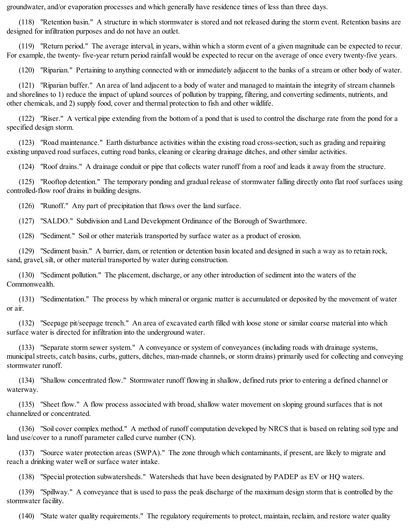groundwater, and/or evaporation processes and which generally have residence times of less than three days.

(118) "Retention basin." A structure in which stormwater is stored and not released during the storm event. Retention basins are designed for infiltration purposes and do not have an outlet.

(119) "Return period." The average interval, in years, within which a storm event of a given magnitude can be expected to recur. For example, the twenty- five-year return period rainfall would be expected to recur on the average of once every twenty-five years.

(120) "Riparian." Pertaining to anything connected with or immediately adjacent to the banks of a stream or other body of water.

(121) "Riparian buffer." An area of land adjacent to a body of water and managed to maintain the integrity of stream channels and shorelines to 1) reduce the impact of upland sources of pollution by trapping, filtering, and converting sediments, nutrients, and other chemicals, and 2) supply food, cover and thermal protection to fish and other wildlife.

(122) "Riser." A vertical pipe extending from the bottom of a pond that is used to control the discharge rate from the pond for a specified design storm.

(123) "Road maintenance." Earth disturbance activities within the existing road cross-section, such as grading and repairing existing unpaved road surfaces, cutting road banks, cleaning or clearing drainage ditches, and other similar activities.

(124) "Roof drains." A drainage conduit or pipe that collects water runoff from a roof and leads it away from the structure.

(125) "Rooftop detention." The temporary ponding and gradual release of stormwater falling directly onto flat roof surfaces using controlled-flow roof drains in building designs.

(126) "Runoff." Any part of precipitation that flows over the land surface.

(127) "SALDO." Subdivision and Land Development Ordinance of the Borough of Swarthmore.

(128) "Sediment." Soil or other materials transported by surface water as a product of erosion.

(129) "Sediment basin." A barrier, dam, or retention or detention basin located and designed in such a way as to retain rock, sand, gravel, silt, or other material transported by water during construction.

(130) "Sediment pollution." The placement, discharge, or any other introduction of sediment into the waters of the Commonwealth.

(131) "Sedimentation." The process by which mineral or organic matter is accumulated or deposited by the movement of water or air.

(132) "Seepage pit/seepage trench." An area of excavated earth filled with loose stone or similar coarse material into which surface water is directed for infiltration into the underground water.

(133) "Separate storm sewer system." A conveyance or system of conveyances (including roads with drainage systems, municipalstreets, catch basins, curbs, gutters, ditches, man-made channels, or storm drains) primarily used for collecting and conveying stormwater runoff.

(134) "Shallow concentrated flow." Stormwater runoff flowing in shallow, defined ruts prior to entering a defined channel or waterway.

(135) "Sheet flow." A flow process associated with broad, shallow water movement on sloping ground surfaces that is not channelized or concentrated.

(136) "Soil cover complex method." A method of runoff computation developed by NRCS that is based on relating soil type and land use/cover to a runoff parameter called curve number (CN).

(137) "Source water protection areas (SWPA)." The zone through which contaminants, if present, are likely to migrate and reach a drinking water well or surface water intake.

(138) "Special protection subwatersheds." Watersheds that have been designated by PADEP as EV or HQ waters.

(139) "Spillway." A conveyance that is used to pass the peak discharge of the maximum design storm that is controlled by the stormwater facility.

(140) "State water quality requirements." The regulatory requirements to protect, maintain, reclaim, and restore water quality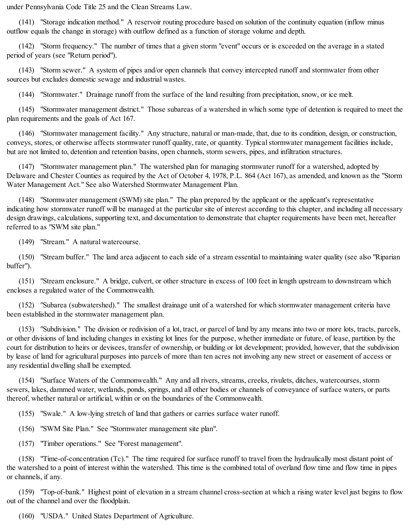under Pennsylvania Code Title 25 and the Clean Streams Law.

(141) "Storage indication method." A reservoir routing procedure based on solution of the continuity equation (inflow minus outflow equals the change in storage) with outflow defined as a function of storage volume and depth.

(142) "Storm frequency." The number of times that a given storm "event" occurs or is exceeded on the average in a stated period of years (see "Return period").

(143) "Storm sewer." A system of pipes and/or open channels that convey intercepted runoff and stormwater from other sources but excludes domestic sewage and industrial wastes.

(144) "Stormwater." Drainage runoff from the surface of the land resulting from precipitation, snow, or ice melt.

(145) "Stormwater management district." Those subareas of a watershed in which some type of detention is required to meet the plan requirements and the goals of Act 167.

(146) "Stormwater management facility." Any structure, natural or man-made, that, due to its condition, design, or construction, conveys, stores, or otherwise affects stormwater runoff quality, rate, or quantity. Typical stormwater management facilities include, but are not limited to, detention and retention basins, open channels, storm sewers, pipes, and infiltration structures.

(147) "Stormwater management plan." The watershed plan for managing stormwater runoff for a watershed, adopted by Delaware and Chester Counties as required by the Act of October 4, 1978, P.L. 864 (Act 167), as amended, and known as the "Storm Water Management Act." See also Watershed Stormwater Management Plan.

(148) "Stormwater management (SWM) site plan." The plan prepared by the applicant or the applicant's representative indicating how stormwater runoff will be managed at the particular site of interest according to this chapter, and including all necessary design drawings, calculations, supporting text, and documentation to demonstrate that chapter requirements have been met, hereafter referred to as "SWM site plan."

(149) "Stream." A natural watercourse.

(150) "Stream buffer." The land area adjacent to each side of a stream essential to maintaining water quality (see also "Riparian buffer").

(151) "Stream enclosure." A bridge, culvert, or other structure in excess of 100 feet in length upstream to downstream which encloses a regulated water of the Commonwealth.

(152) "Subarea (subwatershed)." The smallest drainage unit of a watershed for which stormwater management criteria have been established in the stormwater management plan.

(153) "Subdivision." The division or redivision of a lot, tract, or parcel of land by any means into two or more lots, tracts, parcels, or other divisions of land including changes in existing lot lines for the purpose, whether immediate or future, of lease, partition by the court for distribution to heirs or devisees, transfer of ownership, or building or lot development; provided, however, that the subdivision by lease of land for agricultural purposes into parcels of more than ten acres not involving any new street or easement of access or any residential dwelling shall be exempted.

(154) "Surface Waters of the Commonwealth." Any and all rivers, streams, creeks, rivulets, ditches, watercourses, storm sewers, lakes, dammed water, wetlands, ponds, springs, and all other bodies or channels of conveyance of surface waters, or parts thereof, whether natural or artificial, within or on the boundaries of the Commonwealth.

(155) "Swale." A low-lying stretch of land that gathers or carries surface water runoff.

(156) "SWM Site Plan." See "Stormwater management site plan".

(157) "Timber operations." See "Forest management".

(158) "Time-of-concentration (Tc)." The time required for surface runoff to travel from the hydraulically most distant point of the watershed to a point of interest within the watershed. This time is the combined total of overland flow time and flow time in pipes or channels, if any.

(159) "Top-of-bank." Highest point of elevation in a stream channel cross-section at which a rising water level just begins to flow out of the channel and over the floodplain.

(160) "USDA." United States Department of Agriculture.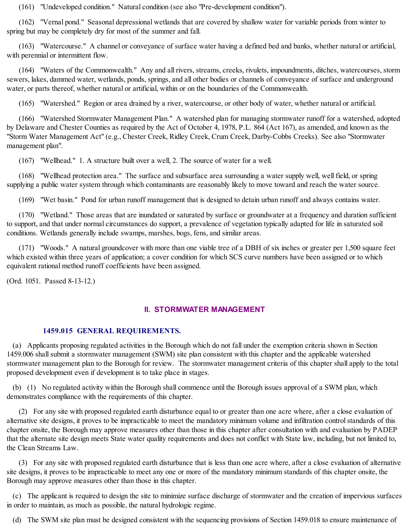(161) "Undeveloped condition." Natural condition (see also "Pre-development condition").

(162) "Vernal pond." Seasonal depressional wetlands that are covered by shallow water for variable periods from winter to spring but may be completely dry for most of the summer and fall.

(163) "Watercourse." A channel or conveyance of surface water having a defined bed and banks, whether natural or artificial, with perennial or intermittent flow.

(164) "Waters of the Commonwealth." Any and all rivers, streams, creeks, rivulets, impoundments, ditches, watercourses, storm sewers, lakes, dammed water, wetlands, ponds, springs, and all other bodies or channels of conveyance of surface and underground water, or parts thereof, whether natural or artificial, within or on the boundaries of the Commonwealth.

(165) "Watershed." Region or area drained by a river, watercourse, or other body of water, whether natural or artificial.

(166) "Watershed Stormwater Management Plan." A watershed plan for managing stormwater runoff for a watershed, adopted by Delaware and Chester Counties as required by the Act of October 4, 1978, P.L. 864 (Act 167), as amended, and known as the "Storm Water Management Act" (e.g., Chester Creek, Ridley Creek, Crum Creek, Darby-Cobbs Creeks). See also "Stormwater management plan".

(167) "Wellhead." 1. A structure built over a well, 2. The source of water for a well.

(168) "Wellhead protection area." The surface and subsurface area surrounding a water supply well, well field, or spring supplying a public water system through which contaminants are reasonably likely to move toward and reach the water source.

(169) "Wet basin." Pond for urban runoff management that is designed to detain urban runoff and always contains water.

(170) "Wetland." Those areas that are inundated or saturated by surface or groundwater at a frequency and duration sufficient to support, and that under normal circumstances do support, a prevalence of vegetation typically adapted for life in saturated soil conditions. Wetlands generally include swamps, marshes, bogs, fens, and similar areas.

(171) "Woods." A natural groundcover with more than one viable tree of a DBH of six inches or greater per 1,500 square feet which existed within three years of application; a cover condition for which SCS curve numbers have been assigned or to which equivalent rational method runoff coefficients have been assigned.

(Ord. 1051. Passed 8-13-12.)

### **II. STORMWATER MANAGEMENT**

### **1459.015 GENERAL REQUIREMENTS.**

(a) Applicants proposing regulated activities in the Borough which do not fall under the exemption criteria shown in Section 1459.006 shallsubmit a stormwater management (SWM) site plan consistent with this chapter and the applicable watershed stormwater management plan to the Borough for review. The stormwater management criteria of this chapter shall apply to the total proposed development even if development is to take place in stages.

(b) (1) No regulated activity within the Borough shall commence until the Borough issues approval of a SWM plan, which demonstrates compliance with the requirements of this chapter.

(2) For any site with proposed regulated earth disturbance equal to or greater than one acre where, after a close evaluation of alternative site designs, it proves to be impracticable to meet the mandatory minimum volume and infiltration controlstandards of this chapter onsite, the Borough may approve measures other than those in this chapter after consultation with and evaluation by PADEP that the alternate site design meets State water quality requirements and does not conflict with State law, including, but not limited to, the Clean Streams Law.

(3) For any site with proposed regulated earth disturbance that is less than one acre where, after a close evaluation of alternative site designs, it proves to be impracticable to meet any one or more of the mandatory minimum standards of this chapter onsite, the Borough may approve measures other than those in this chapter.

(c) The applicant is required to design the site to minimize surface discharge of stormwater and the creation of impervious surfaces in order to maintain, as much as possible, the natural hydrologic regime.

(d) The SWM site plan must be designed consistent with the sequencing provisions of Section 1459.018 to ensure maintenance of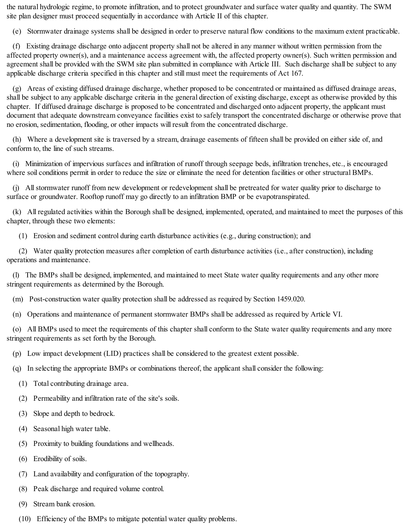the natural hydrologic regime, to promote infiltration, and to protect groundwater and surface water quality and quantity. The SWM site plan designer must proceed sequentially in accordance with Article II of this chapter.

(e) Stormwater drainage systems shall be designed in order to preserve natural flow conditions to the maximum extent practicable.

(f) Existing drainage discharge onto adjacent property shall not be altered in any manner without written permission from the affected property owner(s), and a maintenance access agreement with, the affected property owner(s). Such written permission and agreement shall be provided with the SWM site plan submitted in compliance with Article III. Such discharge shall be subject to any applicable discharge criteria specified in this chapter and still must meet the requirements of Act 167.

(g) Areas of existing diffused drainage discharge, whether proposed to be concentrated or maintained as diffused drainage areas, shall be subject to any applicable discharge criteria in the general direction of existing discharge, except as otherwise provided by this chapter. If diffused drainage discharge is proposed to be concentrated and discharged onto adjacent property, the applicant must document that adequate downstream conveyance facilities exist to safely transport the concentrated discharge or otherwise prove that no erosion, sedimentation, flooding, or other impacts will result from the concentrated discharge.

(h) Where a development site is traversed by a stream, drainage easements of fifteen shall be provided on either side of, and conform to, the line of such streams.

(i) Minimization of impervious surfaces and infiltration of runoff through seepage beds, infiltration trenches, etc., is encouraged where soil conditions permit in order to reduce the size or eliminate the need for detention facilities or other structural BMPs.

(j) Allstormwater runoff from new development or redevelopment shall be pretreated for water quality prior to discharge to surface or groundwater. Rooftop runoff may go directly to an infiltration BMP or be evapotranspirated.

(k) All regulated activities within the Borough shall be designed, implemented, operated, and maintained to meet the purposes of this chapter, through these two elements:

(1) Erosion and sediment control during earth disturbance activities (e.g., during construction); and

(2) Water quality protection measures after completion of earth disturbance activities (i.e., after construction), including operations and maintenance.

(l) The BMPs shall be designed, implemented, and maintained to meet State water quality requirements and any other more stringent requirements as determined by the Borough.

(m) Post-construction water quality protection shall be addressed as required by Section 1459.020.

(n) Operations and maintenance of permanent stormwater BMPs shall be addressed as required by Article VI.

(o) All BMPs used to meet the requirements of this chapter shall conform to the State water quality requirements and any more stringent requirements as set forth by the Borough.

(p) Low impact development (LID) practices shall be considered to the greatest extent possible.

- (q) In selecting the appropriate BMPs or combinations thereof, the applicant shall consider the following:
	- (1) Total contributing drainage area.
	- (2) Permeability and infiltration rate of the site's soils.
	- (3) Slope and depth to bedrock.
	- (4) Seasonal high water table.
	- (5) Proximity to building foundations and wellheads.
	- (6) Erodibility of soils.
	- (7) Land availability and configuration of the topography.
	- (8) Peak discharge and required volume control.
	- (9) Stream bank erosion.
	- (10) Efficiency of the BMPs to mitigate potential water quality problems.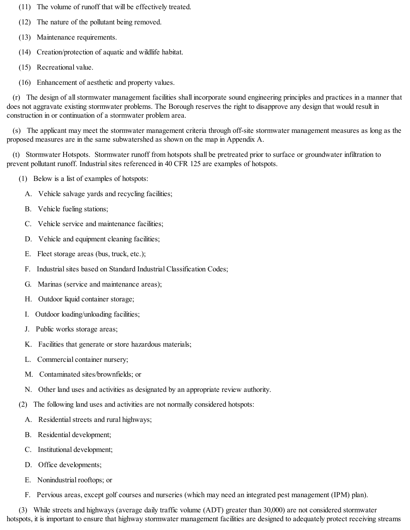- (11) The volume of runoff that will be effectively treated.
- (12) The nature of the pollutant being removed.
- (13) Maintenance requirements.
- (14) Creation/protection of aquatic and wildlife habitat.
- (15) Recreational value.
- (16) Enhancement of aesthetic and property values.

(r) The design of allstormwater management facilities shall incorporate sound engineering principles and practices in a manner that does not aggravate existing stormwater problems. The Borough reserves the right to disapprove any design that would result in construction in or continuation of a stormwater problem area.

(s) The applicant may meet the stormwater management criteria through off-site stormwater management measures as long as the proposed measures are in the same subwatershed as shown on the map in Appendix A.

(t) Stormwater Hotspots. Stormwater runoff from hotspots shall be pretreated prior to surface or groundwater infiltration to prevent pollutant runoff. Industrial sites referenced in 40 CFR 125 are examples of hotspots.

- (1) Below is a list of examples of hotspots:
	- A. Vehicle salvage yards and recycling facilities;
	- B. Vehicle fueling stations;
	- C. Vehicle service and maintenance facilities;
	- D. Vehicle and equipment cleaning facilities;
	- E. Fleet storage areas (bus, truck, etc.);
	- F. Industrial sites based on Standard Industrial Classification Codes;
	- G. Marinas (service and maintenance areas);
	- H. Outdoor liquid container storage;
	- I. Outdoor loading/unloading facilities;
	- J. Public works storage areas;
	- K. Facilities that generate or store hazardous materials;
	- L. Commercial container nursery;
	- M. Contaminated sites/brownfields; or
	- N. Other land uses and activities as designated by an appropriate review authority.
- (2) The following land uses and activities are not normally considered hotspots:
	- A. Residential streets and rural highways;
	- B. Residential development;
	- C. Institutional development;
	- D. Office developments;
	- E. Nonindustrial rooftops; or
	- F. Pervious areas, except golf courses and nurseries (which may need an integrated pest management (IPM) plan).

(3) While streets and highways (average daily traffic volume (ADT) greater than 30,000) are not considered stormwater hotspots, it is important to ensure that highway stormwater management facilities are designed to adequately protect receiving streams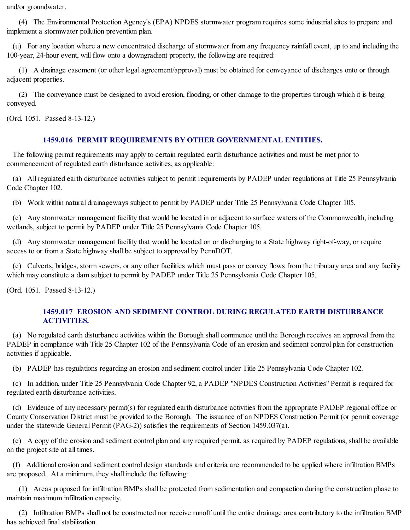and/or groundwater.

(4) The Environmental Protection Agency's (EPA) NPDES stormwater program requires some industrialsites to prepare and implement a stormwater pollution prevention plan.

(u) For any location where a new concentrated discharge of stormwater from any frequency rainfall event, up to and including the 100-year, 24-hour event, will flow onto a downgradient property, the following are required:

(1) A drainage easement (or other legal agreement/approval) must be obtained for conveyance of discharges onto or through adjacent properties.

(2) The conveyance must be designed to avoid erosion, flooding, or other damage to the properties through which it is being conveyed.

(Ord. 1051. Passed 8-13-12.)

# **1459.016 PERMIT REQUIREMENTS BY OTHER GOVERNMENTAL ENTITIES.**

The following permit requirements may apply to certain regulated earth disturbance activities and must be met prior to commencement of regulated earth disturbance activities, as applicable:

(a) All regulated earth disturbance activities subject to permit requirements by PADEP under regulations at Title 25 Pennsylvania Code Chapter 102.

(b) Work within natural drainageways subject to permit by PADEP under Title 25 Pennsylvania Code Chapter 105.

(c) Any stormwater management facility that would be located in or adjacent to surface waters of the Commonwealth, including wetlands, subject to permit by PADEP under Title 25 Pennsylvania Code Chapter 105.

(d) Any stormwater management facility that would be located on or discharging to a State highway right-of-way, or require access to or from a State highway shall be subject to approval by PennDOT.

(e) Culverts, bridges, storm sewers, or any other facilities which must pass or convey flows from the tributary area and any facility which may constitute a dam subject to permit by PADEP under Title 25 Pennsylvania Code Chapter 105.

(Ord. 1051. Passed 8-13-12.)

# **1459.017 EROSION AND SEDIMENT CONTROL DURING REGULATED EARTH DISTURBANCE ACTIVITIES.**

(a) No regulated earth disturbance activities within the Borough shall commence until the Borough receives an approval from the PADEP in compliance with Title 25 Chapter 102 of the Pennsylvania Code of an erosion and sediment control plan for construction activities if applicable.

(b) PADEP has regulations regarding an erosion and sediment control under Title 25 Pennsylvania Code Chapter 102.

(c) In addition, under Title 25 Pennsylvania Code Chapter 92, a PADEP "NPDES Construction Activities" Permit is required for regulated earth disturbance activities.

(d) Evidence of any necessary permit(s) for regulated earth disturbance activities from the appropriate PADEP regional office or County Conservation District must be provided to the Borough. The issuance of an NPDES Construction Permit (or permit coverage under the statewide General Permit (PAG-2)) satisfies the requirements of Section 1459.037(a).

(e) A copy of the erosion and sediment control plan and any required permit, as required by PADEP regulations, shall be available on the project site at all times.

(f) Additional erosion and sediment control design standards and criteria are recommended to be applied where infiltration BMPs are proposed. At a minimum, they shall include the following:

(1) Areas proposed for infiltration BMPs shall be protected from sedimentation and compaction during the construction phase to maintain maximum infiltration capacity.

(2) Infiltration BMPs shall not be constructed nor receive runoff until the entire drainage area contributory to the infiltration BMP has achieved final stabilization.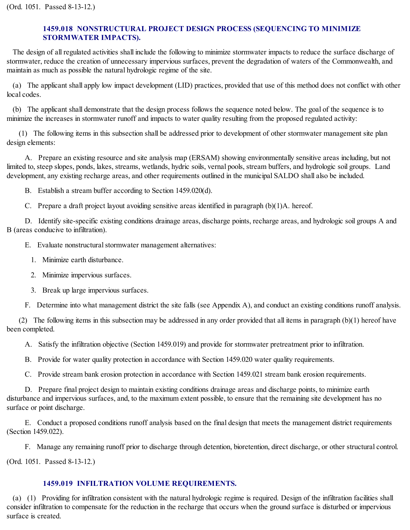# **1459.018 NONSTRUCTURAL PROJECT DESIGN PROCESS (SEQUENCING TO MINIMIZE STORMWATER IMPACTS).**

The design of all regulated activities shall include the following to minimize stormwater impacts to reduce the surface discharge of stormwater, reduce the creation of unnecessary impervious surfaces, prevent the degradation of waters of the Commonwealth, and maintain as much as possible the natural hydrologic regime of the site.

(a) The applicant shall apply low impact development (LID) practices, provided that use of this method does not conflict with other local codes.

(b) The applicant shall demonstrate that the design process follows the sequence noted below. The goal of the sequence is to minimize the increases in stormwater runoff and impacts to water quality resulting from the proposed regulated activity:

(1) The following items in this subsection shall be addressed prior to development of other stormwater management site plan design elements:

A. Prepare an existing resource and site analysis map (ERSAM) showing environmentally sensitive areas including, but not limited to, steep slopes, ponds, lakes, streams, wetlands, hydric soils, vernal pools, stream buffers, and hydrologic soil groups. Land development, any existing recharge areas, and other requirements outlined in the municipal SALDO shall also be included.

B. Establish a stream buffer according to Section 1459.020(d).

C. Prepare a draft project layout avoiding sensitive areas identified in paragraph (b)(1)A. hereof.

D. Identify site-specific existing conditions drainage areas, discharge points, recharge areas, and hydrologic soil groups A and B (areas conducive to infiltration).

E. Evaluate nonstructural stormwater management alternatives:

- 1. Minimize earth disturbance.
- 2. Minimize impervious surfaces.
- 3. Break up large impervious surfaces.

F. Determine into what management district the site falls (see Appendix A), and conduct an existing conditions runoff analysis.

(2) The following items in this subsection may be addressed in any order provided that all items in paragraph (b)(1) hereof have been completed.

A. Satisfy the infiltration objective (Section 1459.019) and provide for stormwater pretreatment prior to infiltration.

B. Provide for water quality protection in accordance with Section 1459.020 water quality requirements.

C. Provide stream bank erosion protection in accordance with Section 1459.021 stream bank erosion requirements.

D. Prepare final project design to maintain existing conditions drainage areas and discharge points, to minimize earth disturbance and impervious surfaces, and, to the maximum extent possible, to ensure that the remaining site development has no surface or point discharge.

E. Conduct a proposed conditions runoff analysis based on the final design that meets the management district requirements (Section 1459.022).

F. Manage any remaining runoff prior to discharge through detention, bioretention, direct discharge, or other structural control.

(Ord. 1051. Passed 8-13-12.)

# **1459.019 INFILTRATION VOLUME REQUIREMENTS.**

(a) (1) Providing for infiltration consistent with the natural hydrologic regime is required. Design of the infiltration facilities shall consider infiltration to compensate for the reduction in the recharge that occurs when the ground surface is disturbed or impervious surface is created.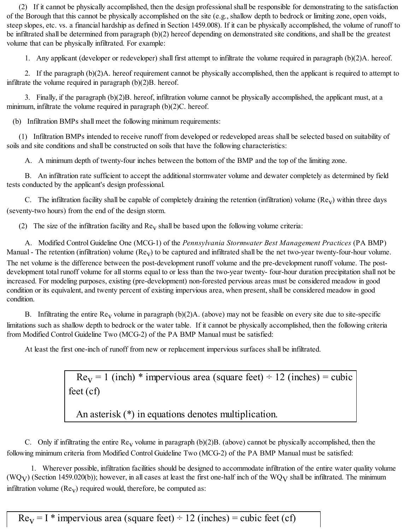(2) If it cannot be physically accomplished, then the design professionalshall be responsible for demonstrating to the satisfaction of the Borough that this cannot be physically accomplished on the site (e.g., shallow depth to bedrock or limiting zone, open voids, steep slopes, etc. vs. a financial hardship as defined in Section 1459.008). If it can be physically accomplished, the volume of runoff to be infiltrated shall be determined from paragraph (b)(2) hereof depending on demonstrated site conditions, and shall be the greatest volume that can be physically infiltrated. For example:

1. Any applicant (developer or redeveloper) shall first attempt to infiltrate the volume required in paragraph (b)(2)A. hereof.

2. If the paragraph (b)(2)A. hereof requirement cannot be physically accomplished, then the applicant is required to attempt to infiltrate the volume required in paragraph (b)(2)B. hereof.

3. Finally, if the paragraph (b)(2)B. hereof, infiltration volume cannot be physically accomplished, the applicant must, at a minimum, infiltrate the volume required in paragraph (b)(2)C. hereof.

(b) Infiltration BMPs shall meet the following minimum requirements:

(1) Infiltration BMPs intended to receive runoff from developed or redeveloped areas shall be selected based on suitability of soils and site conditions and shall be constructed on soils that have the following characteristics:

A. A minimum depth of twenty-four inches between the bottom of the BMP and the top of the limiting zone.

B. An infiltration rate sufficient to accept the additional stormwater volume and dewater completely as determined by field tests conducted by the applicant's design professional.

C. The infiltration facility shall be capable of completely draining the retention (infiltration) volume  $(Re<sub>V</sub>)$  within three days (seventy-two hours) from the end of the design storm.

(2) The size of the infiltration facility and  $Re<sub>V</sub>$  shall be based upon the following volume criteria:

A. Modified Control Guideline One (MCG-1) of the *Pennsylvania Stormwater Best Management Practices* (PA BMP) Manual - The retention (infiltration) volume  $(Re_V)$  to be captured and infiltrated shall be the net two-year twenty-four-hour volume. The net volume is the difference between the post-development runoff volume and the pre-development runoff volume. The postdevelopment total runoff volume for all storms equal to or less than the two-year twenty- four-hour duration precipitation shall not be increased. For modeling purposes, existing (pre-development) non-forested pervious areas must be considered meadow in good condition or its equivalent, and twenty percent of existing impervious area, when present, shall be considered meadow in good condition.

B. Infiltrating the entire  $\text{Re}_V$  volume in paragraph (b)(2)A. (above) may not be feasible on every site due to site-specific limitations such as shallow depth to bedrock or the water table. If it cannot be physically accomplished, then the following criteria from Modified Control Guideline Two (MCG-2) of the PA BMP Manual must be satisfied:

At least the first one-inch of runoff from new or replacement impervious surfaces shall be infiltrated.

 $Re<sub>V</sub> = 1$  (inch) \* impervious area (square feet) ÷ 12 (inches) = cubic feet (cf)

An asterisk (\*) in equations denotes multiplication.

C. Only if infiltrating the entire  $\text{Re}_V$  volume in paragraph (b)(2)B. (above) cannot be physically accomplished, then the following minimum criteria from Modified Control Guideline Two (MCG-2) of the PA BMP Manual must be satisfied:

1. Wherever possible, infiltration facilities should be designed to accommodate infiltration of the entire water quality volume  $(WQ_V)$  (Section 1459.020(b)); however, in all cases at least the first one-half inch of the WQ<sub>V</sub> shall be infiltrated. The minimum infiltration volume  $(Re_V)$  required would, therefore, be computed as: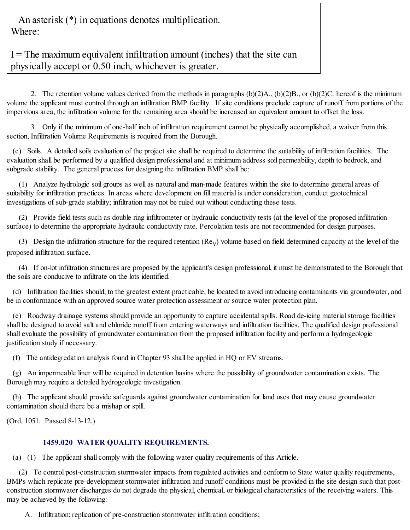An asterisk (\*) in equations denotes multiplication. Where:

 $I =$ The maximum equivalent infiltration amount (inches) that the site can physically accept or 0.50 inch, whichever is greater.

2. The retention volume values derived from the methods in paragraphs  $(b)(2)A$ ,  $(b)(2)B$ , or  $(b)(2)C$ . hereof is the minimum volume the applicant must control through an infiltration BMP facility. If site conditions preclude capture of runoff from portions of the impervious area, the infiltration volume for the remaining area should be increased an equivalent amount to offset the loss.

3. Only if the minimum of one-half inch of infiltration requirement cannot be physically accomplished, a waiver from this section, Infiltration Volume Requirements is required from the Borough.

(c) Soils. A detailed soils evaluation of the project site shall be required to determine the suitability of infiltration facilities. The evaluation shall be performed by a qualified design professional and at minimum address soil permeability, depth to bedrock, and subgrade stability. The general process for designing the infiltration BMP shall be:

(1) Analyze hydrologic soil groups as well as natural and man-made features within the site to determine general areas of suitability for infiltration practices. In areas where development on fill material is under consideration, conduct geotechnical investigations of sub-grade stability; infiltration may not be ruled out without conducting these tests.

(2) Provide field tests such as double ring infiltrometer or hydraulic conductivity tests (at the level of the proposed infiltration surface) to determine the appropriate hydraulic conductivity rate. Percolation tests are not recommended for design purposes.

(3) Design the infiltration structure for the required retention  $(Re<sub>V</sub>)$  volume based on field determined capacity at the level of the proposed infiltration surface.

(4) If on-lot infiltration structures are proposed by the applicant's design professional, it must be demonstrated to the Borough that the soils are conducive to infiltrate on the lots identified.

(d) Infiltration facilities should, to the greatest extent practicable, be located to avoid introducing contaminants via groundwater, and be in conformance with an approved source water protection assessment or source water protection plan.

(e) Roadway drainage systems should provide an opportunity to capture accidentalspills. Road de-icing materialstorage facilities shall be designed to avoid salt and chloride runoff from entering waterways and infiltration facilities. The qualified design professional shall evaluate the possibility of groundwater contamination from the proposed infiltration facility and perform a hydrogeologic justification study if necessary.

(f) The antidegredation analysis found in Chapter 93 shall be applied in HQ or EV streams.

(g) An impermeable liner will be required in detention basins where the possibility of groundwater contamination exists. The Borough may require a detailed hydrogeologic investigation.

(h) The applicant should provide safeguards against groundwater contamination for land uses that may cause groundwater contamination should there be a mishap or spill.

(Ord. 1051. Passed 8-13-12.)

### **1459.020 WATER QUALITY REQUIREMENTS.**

(a) (1) The applicant shall comply with the following water quality requirements of this Article.

(2) To control post-construction stormwater impacts from regulated activities and conform to State water quality requirements, BMPs which replicate pre-development stormwater infiltration and runoff conditions must be provided in the site design such that postconstruction stormwater discharges do not degrade the physical, chemical, or biological characteristics of the receiving waters. This may be achieved by the following:

A. Infiltration: replication of pre-construction stormwater infiltration conditions;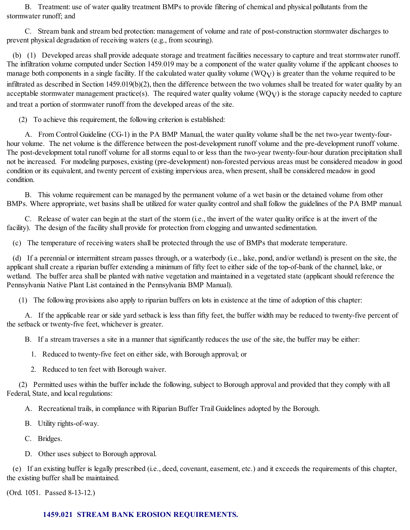B. Treatment: use of water quality treatment BMPs to provide filtering of chemical and physical pollutants from the stormwater runoff; and

C. Stream bank and stream bed protection: management of volume and rate of post-construction stormwater discharges to prevent physical degradation of receiving waters (e.g., from scouring).

(b) (1) Developed areas shall provide adequate storage and treatment facilities necessary to capture and treat stormwater runoff. The infiltration volume computed under Section 1459.019 may be a component of the water quality volume if the applicant chooses to manage both components in a single facility. If the calculated water quality volume (WQ $_{\rm V}$ ) is greater than the volume required to be infiltrated as described in Section 1459.019(b)(2), then the difference between the two volumes shall be treated for water quality by an acceptable stormwater management practice(s). The required water quality volume (WQ $_{\rm V}$ ) is the storage capacity needed to capture and treat a portion of stormwater runoff from the developed areas of the site.

(2) To achieve this requirement, the following criterion is established:

A. From Control Guideline (CG-1) in the PA BMP Manual, the water quality volume shall be the net two-year twenty-fourhour volume. The net volume is the difference between the post-development runoff volume and the pre-development runoff volume. The post-development total runoff volume for allstorms equal to or less than the two-year twenty-four-hour duration precipitation shall not be increased. For modeling purposes, existing (pre-development) non-forested pervious areas must be considered meadow in good condition or its equivalent, and twenty percent of existing impervious area, when present, shall be considered meadow in good condition.

B. This volume requirement can be managed by the permanent volume of a wet basin or the detained volume from other BMPs. Where appropriate, wet basins shall be utilized for water quality control and shall follow the guidelines of the PA BMP manual.

C. Release of water can begin at the start of the storm (i.e., the invert of the water quality orifice is at the invert of the facility). The design of the facility shall provide for protection from clogging and unwanted sedimentation.

(c) The temperature of receiving waters shall be protected through the use of BMPs that moderate temperature.

(d) If a perennial or intermittent stream passes through, or a waterbody (i.e., lake, pond, and/or wetland) is present on the site, the applicant shall create a riparian buffer extending a minimum of fifty feet to either side of the top-of-bank of the channel, lake, or wetland. The buffer area shall be planted with native vegetation and maintained in a vegetated state (applicant should reference the Pennsylvania Native Plant List contained in the Pennsylvania BMP Manual).

(1) The following provisions also apply to riparian buffers on lots in existence at the time of adoption of this chapter:

A. If the applicable rear or side yard setback is less than fifty feet, the buffer width may be reduced to twenty-five percent of the setback or twenty-five feet, whichever is greater.

B. If a stream traverses a site in a manner that significantly reduces the use of the site, the buffer may be either:

1. Reduced to twenty-five feet on either side, with Borough approval; or

2. Reduced to ten feet with Borough waiver.

(2) Permitted uses within the buffer include the following, subject to Borough approval and provided that they comply with all Federal, State, and local regulations:

A. Recreational trails, in compliance with Riparian Buffer Trail Guidelines adopted by the Borough.

B. Utility rights-of-way.

C. Bridges.

D. Other uses subject to Borough approval.

(e) If an existing buffer is legally prescribed (i.e., deed, covenant, easement, etc.) and it exceeds the requirements of this chapter, the existing buffer shall be maintained.

(Ord. 1051. Passed 8-13-12.)

### **1459.021 STREAM BANK EROSION REQUIREMENTS.**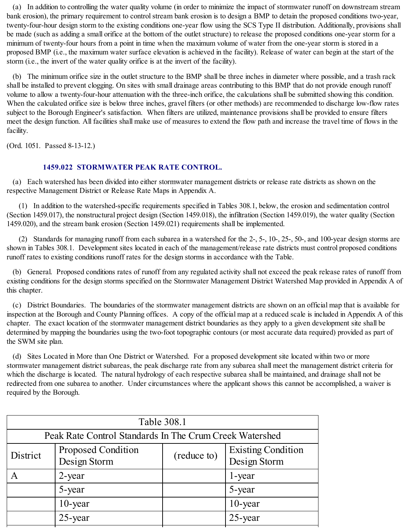(a) In addition to controlling the water quality volume (in order to minimize the impact of stormwater runoff on downstream stream bank erosion), the primary requirement to control stream bank erosion is to design a BMP to detain the proposed conditions two-year, twenty-four-hour design storm to the existing conditions one-year flow using the SCS Type II distribution. Additionally, provisions shall be made (such as adding a small orifice at the bottom of the outlet structure) to release the proposed conditions one-year storm for a minimum of twenty-four hours from a point in time when the maximum volume of water from the one-year storm is stored in a proposed BMP (i.e., the maximum water surface elevation is achieved in the facility). Release of water can begin at the start of the storm (i.e., the invert of the water quality orifice is at the invert of the facility).

(b) The minimum orifice size in the outlet structure to the BMP shall be three inches in diameter where possible, and a trash rack shall be installed to prevent clogging. On sites with small drainage areas contributing to this BMP that do not provide enough runoff volume to allow a twenty-four-hour attenuation with the three-inch orifice, the calculations shall be submitted showing this condition. When the calculated orifice size is below three inches, gravel filters (or other methods) are recommended to discharge low-flow rates subject to the Borough Engineer's satisfaction. When filters are utilized, maintenance provisions shall be provided to ensure filters meet the design function. All facilities shall make use of measures to extend the flow path and increase the travel time of flows in the facility.

(Ord. 1051. Passed 8-13-12.)

### **1459.022 STORMWATER PEAK RATE CONTROL.**

(a) Each watershed has been divided into either stormwater management districts or release rate districts as shown on the respective Management District or Release Rate Maps in Appendix A.

(1) In addition to the watershed-specific requirements specified in Tables 308.1, below, the erosion and sedimentation control (Section 1459.017), the nonstructural project design (Section 1459.018), the infiltration (Section 1459.019), the water quality (Section 1459.020), and the stream bank erosion (Section 1459.021) requirements shall be implemented.

(2) Standards for managing runoff from each subarea in a watershed for the 2-, 5-, 10-, 25-, 50-, and 100-year design storms are shown in Tables 308.1. Development sites located in each of the management/release rate districts must control proposed conditions runoff rates to existing conditions runoff rates for the design storms in accordance with the Table.

(b) General. Proposed conditions rates of runoff from any regulated activity shall not exceed the peak release rates of runoff from existing conditions for the design storms specified on the Stormwater Management District Watershed Map provided in Appendix A of this chapter.

(c) District Boundaries. The boundaries of the stormwater management districts are shown on an official map that is available for inspection at the Borough and County Planning offices. A copy of the official map at a reduced scale is included in Appendix A of this chapter. The exact location of the stormwater management district boundaries as they apply to a given development site shall be determined by mapping the boundaries using the two-foot topographic contours (or most accurate data required) provided as part of the SWM site plan.

(d) Sites Located in More than One District or Watershed. For a proposed development site located within two or more stormwater management district subareas, the peak discharge rate from any subarea shall meet the management district criteria for which the discharge is located. The natural hydrology of each respective subarea shall be maintained, and drainage shall not be redirected from one subarea to another. Under circumstances where the applicant shows this cannot be accomplished, a waiver is required by the Borough.

| Table 308.1 |                                                         |                                           |            |  |  |  |
|-------------|---------------------------------------------------------|-------------------------------------------|------------|--|--|--|
|             | Peak Rate Control Standards In The Crum Creek Watershed |                                           |            |  |  |  |
| District    | <b>Proposed Condition</b><br>Design Storm               | <b>Existing Condition</b><br>Design Storm |            |  |  |  |
| A           | $2$ -year                                               |                                           | 1-year     |  |  |  |
|             | 5-year                                                  |                                           | 5-year     |  |  |  |
| $10$ -year  |                                                         |                                           | $10$ -year |  |  |  |
|             | 25-year                                                 |                                           | $25$ -year |  |  |  |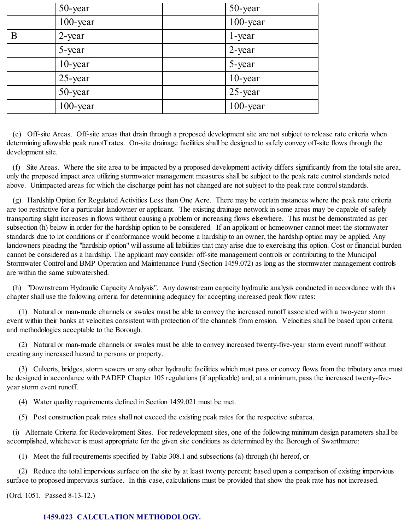|   | 50-year     | 50-year     |
|---|-------------|-------------|
|   | $100$ -year | $100$ -year |
| B | 2-year      | 1-year      |
|   | 5-year      | 2-year      |
|   | $10$ -year  | 5-year      |
|   | 25-year     | 10-year     |
|   | 50-year     | 25-year     |
|   | $100$ -year | 100-year    |

(e) Off-site Areas. Off-site areas that drain through a proposed development site are not subject to release rate criteria when determining allowable peak runoff rates. On-site drainage facilities shall be designed to safely convey off-site flows through the development site.

(f) Site Areas. Where the site area to be impacted by a proposed development activity differs significantly from the totalsite area, only the proposed impact area utilizing stormwater management measures shall be subject to the peak rate control standards noted above. Unimpacted areas for which the discharge point has not changed are not subject to the peak rate control standards.

(g) Hardship Option for Regulated Activities Less than One Acre. There may be certain instances where the peak rate criteria are too restrictive for a particular landowner or applicant. The existing drainage network in some areas may be capable of safely transporting slight increases in flows without causing a problem or increasing flows elsewhere. This must be demonstrated as per subsection (h) below in order for the hardship option to be considered. If an applicant or homeowner cannot meet the stormwater standards due to lot conditions or if conformance would become a hardship to an owner, the hardship option may be applied. Any landowners pleading the "hardship option" will assume all liabilities that may arise due to exercising this option. Cost or financial burden cannot be considered as a hardship. The applicant may consider off-site management controls or contributing to the Municipal Stormwater Control and BMP Operation and Maintenance Fund (Section 1459.072) as long as the stormwater management controls are within the same subwatershed.

(h) "Downstream Hydraulic Capacity Analysis". Any downstream capacity hydraulic analysis conducted in accordance with this chapter shall use the following criteria for determining adequacy for accepting increased peak flow rates:

(1) Natural or man-made channels or swales must be able to convey the increased runoff associated with a two-year storm event within their banks at velocities consistent with protection of the channels from erosion. Velocities shall be based upon criteria and methodologies acceptable to the Borough.

(2) Natural or man-made channels or swales must be able to convey increased twenty-five-year storm event runoff without creating any increased hazard to persons or property.

(3) Culverts, bridges, storm sewers or any other hydraulic facilities which must pass or convey flows from the tributary area must be designed in accordance with PADEP Chapter 105 regulations (if applicable) and, at a minimum, pass the increased twenty-fiveyear storm event runoff.

- (4) Water quality requirements defined in Section 1459.021 must be met.
- (5) Post construction peak rates shall not exceed the existing peak rates for the respective subarea.

(i) Alternate Criteria for Redevelopment Sites. For redevelopment sites, one of the following minimum design parameters shall be accomplished, whichever is most appropriate for the given site conditions as determined by the Borough of Swarthmore:

(1) Meet the full requirements specified by Table 308.1 and subsections (a) through (h) hereof, or

(2) Reduce the total impervious surface on the site by at least twenty percent; based upon a comparison of existing impervious surface to proposed impervious surface. In this case, calculations must be provided that show the peak rate has not increased.

(Ord. 1051. Passed 8-13-12.)

# **1459.023 CALCULATION METHODOLOGY.**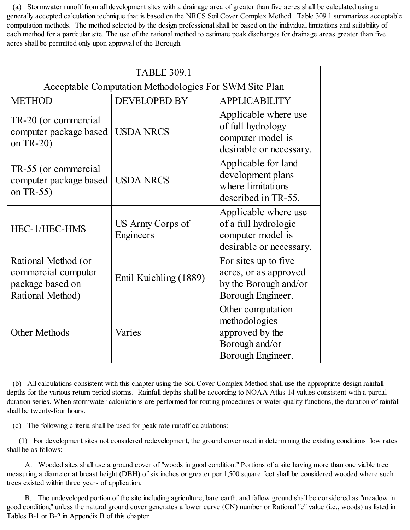(a) Stormwater runoff from all development sites with a drainage area of greater than five acres shall be calculated using a generally accepted calculation technique that is based on the NRCS Soil Cover Complex Method. Table 309.1 summarizes acceptable computation methods. The method selected by the design professional shall be based on the individual limitations and suitability of each method for a particular site. The use of the rational method to estimate peak discharges for drainage areas greater than five acres shall be permitted only upon approval of the Borough.

| <b>TABLE 309.1</b>                                                                 |                                                        |                                                                                              |  |  |  |
|------------------------------------------------------------------------------------|--------------------------------------------------------|----------------------------------------------------------------------------------------------|--|--|--|
|                                                                                    | Acceptable Computation Methodologies For SWM Site Plan |                                                                                              |  |  |  |
| <b>METHOD</b>                                                                      | <b>DEVELOPED BY</b>                                    | <b>APPLICABILITY</b>                                                                         |  |  |  |
| TR-20 (or commercial<br>computer package based<br>on TR-20)                        | <b>USDA NRCS</b>                                       | Applicable where use<br>of full hydrology<br>computer model is<br>desirable or necessary.    |  |  |  |
| TR-55 (or commercial<br>computer package based<br>on TR-55)                        | <b>USDA NRCS</b>                                       | Applicable for land<br>development plans<br>where limitations<br>described in TR-55.         |  |  |  |
| HEC-1/HEC-HMS                                                                      | US Army Corps of<br>Engineers                          | Applicable where use<br>of a full hydrologic<br>computer model is<br>desirable or necessary. |  |  |  |
| Rational Method (or<br>commercial computer<br>package based on<br>Rational Method) | Emil Kuichling (1889)                                  | For sites up to five<br>acres, or as approved<br>by the Borough and/or<br>Borough Engineer.  |  |  |  |
| <b>Other Methods</b>                                                               | Varies                                                 | Other computation<br>methodologies<br>approved by the<br>Borough and/or<br>Borough Engineer. |  |  |  |

(b) All calculations consistent with this chapter using the Soil Cover Complex Method shall use the appropriate design rainfall depths for the various return period storms. Rainfall depths shall be according to NOAA Atlas 14 values consistent with a partial duration series. When stormwater calculations are performed for routing procedures or water quality functions, the duration of rainfall shall be twenty-four hours.

(c) The following criteria shall be used for peak rate runoff calculations:

(1) For development sites not considered redevelopment, the ground cover used in determining the existing conditions flow rates shall be as follows:

A. Wooded sites shall use a ground cover of "woods in good condition." Portions of a site having more than one viable tree measuring a diameter at breast height (DBH) of six inches or greater per 1,500 square feet shall be considered wooded where such trees existed within three years of application.

B. The undeveloped portion of the site including agriculture, bare earth, and fallow ground shall be considered as "meadow in good condition," unless the natural ground cover generates a lower curve (CN) number or Rational "c" value (i.e., woods) as listed in Tables B-1 or B-2 in Appendix B of this chapter.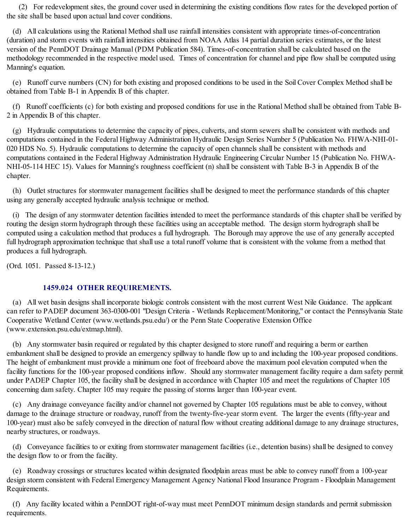(2) For redevelopment sites, the ground cover used in determining the existing conditions flow rates for the developed portion of the site shall be based upon actual land cover conditions.

(d) All calculations using the Rational Method shall use rainfall intensities consistent with appropriate times-of-concentration (duration) and storm events with rainfall intensities obtained from NOAA Atlas 14 partial duration series estimates, or the latest version of the PennDOT Drainage Manual (PDM Publication 584). Times-of-concentration shall be calculated based on the methodology recommended in the respective model used. Times of concentration for channel and pipe flow shall be computed using Manning's equation.

(e) Runoff curve numbers (CN) for both existing and proposed conditions to be used in the Soil Cover Complex Method shall be obtained from Table B-1 in Appendix B of this chapter.

(f) Runoff coefficients (c) for both existing and proposed conditions for use in the Rational Method shall be obtained from Table B-2 in Appendix B of this chapter.

(g) Hydraulic computations to determine the capacity of pipes, culverts, and storm sewers shall be consistent with methods and computations contained in the Federal Highway Administration Hydraulic Design Series Number 5 (Publication No. FHWA-NHI-01- 020 HDS No. 5). Hydraulic computations to determine the capacity of open channels shall be consistent with methods and computations contained in the Federal Highway Administration Hydraulic Engineering Circular Number 15 (Publication No. FHWA-NHI-05-114 HEC 15). Values for Manning's roughness coefficient (n) shall be consistent with Table B-3 in Appendix B of the chapter.

(h) Outlet structures for stormwater management facilities shall be designed to meet the performance standards of this chapter using any generally accepted hydraulic analysis technique or method.

(i) The design of any stormwater detention facilities intended to meet the performance standards of this chapter shall be verified by routing the design storm hydrograph through these facilities using an acceptable method. The design storm hydrograph shall be computed using a calculation method that produces a full hydrograph. The Borough may approve the use of any generally accepted full hydrograph approximation technique that shall use a total runoff volume that is consistent with the volume from a method that produces a full hydrograph.

(Ord. 1051. Passed 8-13-12.)

### **1459.024 OTHER REQUIREMENTS.**

(a) All wet basin designs shall incorporate biologic controls consistent with the most current West Nile Guidance. The applicant can refer to PADEP document 363-0300-001 "Design Criteria - Wetlands Replacement/Monitoring," or contact the Pennsylvania State Cooperative Wetland Center (www.wetlands.psu.edu/) or the Penn State Cooperative Extension Office (www.extension.psu.edu/extmap.html).

(b) Any stormwater basin required or regulated by this chapter designed to store runoff and requiring a berm or earthen embankment shall be designed to provide an emergency spillway to handle flow up to and including the 100-year proposed conditions. The height of embankment must provide a minimum one foot of freeboard above the maximum pool elevation computed when the facility functions for the 100-year proposed conditions inflow. Should any stormwater management facility require a dam safety permit under PADEP Chapter 105, the facility shall be designed in accordance with Chapter 105 and meet the regulations of Chapter 105 concerning dam safety. Chapter 105 may require the passing of storms larger than 100-year event.

(c) Any drainage conveyance facility and/or channel not governed by Chapter 105 regulations must be able to convey, without damage to the drainage structure or roadway, runoff from the twenty-five-year storm event. The larger the events (fifty-year and 100-year) must also be safely conveyed in the direction of natural flow without creating additional damage to any drainage structures, nearby structures, or roadways.

(d) Conveyance facilities to or exiting from stormwater management facilities (i.e., detention basins) shall be designed to convey the design flow to or from the facility.

(e) Roadway crossings or structures located within designated floodplain areas must be able to convey runoff from a 100-year design storm consistent with Federal Emergency Management Agency National Flood Insurance Program - Floodplain Management Requirements.

(f) Any facility located within a PennDOT right-of-way must meet PennDOT minimum design standards and permit submission requirements.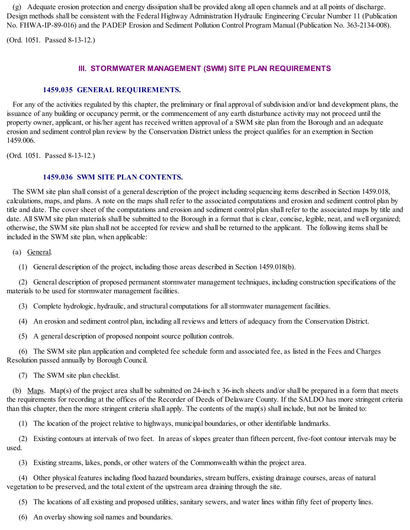(g) Adequate erosion protection and energy dissipation shall be provided along all open channels and at all points of discharge. Design methods shall be consistent with the Federal Highway Administration Hydraulic Engineering Circular Number 11 (Publication No. FHWA-IP-89-016) and the PADEP Erosion and Sediment Pollution Control Program Manual (Publication No. 363-2134-008).

(Ord. 1051. Passed 8-13-12.)

### **III. STORMWATER MANAGEMENT (SWM) SITE PLAN REQUIREMENTS**

### **1459.035 GENERAL REQUIREMENTS.**

For any of the activities regulated by this chapter, the preliminary or final approval of subdivision and/or land development plans, the issuance of any building or occupancy permit, or the commencement of any earth disturbance activity may not proceed until the property owner, applicant, or his/her agent has received written approval of a SWM site plan from the Borough and an adequate erosion and sediment control plan review by the Conservation District unless the project qualifies for an exemption in Section 1459.006.

(Ord. 1051. Passed 8-13-12.)

### **1459.036 SWM SITE PLAN CONTENTS.**

The SWM site plan shall consist of a general description of the project including sequencing items described in Section 1459.018, calculations, maps, and plans. A note on the maps shall refer to the associated computations and erosion and sediment control plan by title and date. The cover sheet of the computations and erosion and sediment control plan shall refer to the associated maps by title and date. All SWM site plan materials shall be submitted to the Borough in a format that is clear, concise, legible, neat, and well organized; otherwise, the SWM site plan shall not be accepted for review and shall be returned to the applicant. The following items shall be included in the SWM site plan, when applicable:

(a) General.

(1) General description of the project, including those areas described in Section 1459.018(b).

(2) General description of proposed permanent stormwater management techniques, including construction specifications of the materials to be used for stormwater management facilities.

(3) Complete hydrologic, hydraulic, and structural computations for allstormwater management facilities.

(4) An erosion and sediment control plan, including all reviews and letters of adequacy from the Conservation District.

(5) A general description of proposed nonpoint source pollution controls.

(6) The SWM site plan application and completed fee schedule form and associated fee, as listed in the Fees and Charges Resolution passed annually by Borough Council.

(7) The SWM site plan checklist.

(b) Maps. Map(s) of the project area shall be submitted on 24-inch x 36-inch sheets and/or shall be prepared in a form that meets the requirements for recording at the offices of the Recorder of Deeds of Delaware County. If the SALDO has more stringent criteria than this chapter, then the more stringent criteria shall apply. The contents of the map(s) shall include, but not be limited to:

(1) The location of the project relative to highways, municipal boundaries, or other identifiable landmarks.

(2) Existing contours at intervals of two feet. In areas of slopes greater than fifteen percent, five-foot contour intervals may be used.

(3) Existing streams, lakes, ponds, or other waters of the Commonwealth within the project area.

(4) Other physical features including flood hazard boundaries, stream buffers, existing drainage courses, areas of natural vegetation to be preserved, and the total extent of the upstream area draining through the site.

(5) The locations of all existing and proposed utilities, sanitary sewers, and water lines within fifty feet of property lines.

(6) An overlay showing soil names and boundaries.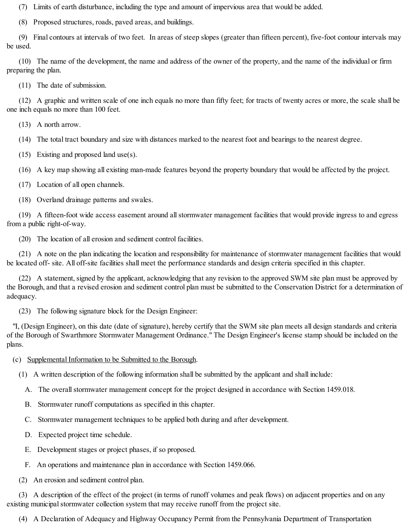(7) Limits of earth disturbance, including the type and amount of impervious area that would be added.

(8) Proposed structures, roads, paved areas, and buildings.

(9) Final contours at intervals of two feet. In areas of steep slopes (greater than fifteen percent), five-foot contour intervals may be used.

(10) The name of the development, the name and address of the owner of the property, and the name of the individual or firm preparing the plan.

(11) The date of submission.

(12) A graphic and written scale of one inch equals no more than fifty feet; for tracts of twenty acres or more, the scale shall be one inch equals no more than 100 feet.

(13) A north arrow.

(14) The total tract boundary and size with distances marked to the nearest foot and bearings to the nearest degree.

(15) Existing and proposed land use(s).

(16) A key map showing all existing man-made features beyond the property boundary that would be affected by the project.

(17) Location of all open channels.

(18) Overland drainage patterns and swales.

(19) A fifteen-foot wide access easement around allstormwater management facilities that would provide ingress to and egress from a public right-of-way.

(20) The location of all erosion and sediment control facilities.

(21) A note on the plan indicating the location and responsibility for maintenance of stormwater management facilities that would be located off- site. All off-site facilities shall meet the performance standards and design criteria specified in this chapter.

(22) A statement, signed by the applicant, acknowledging that any revision to the approved SWM site plan must be approved by the Borough, and that a revised erosion and sediment control plan must be submitted to the Conservation District for a determination of adequacy.

(23) The following signature block for the Design Engineer:

"I, (Design Engineer), on this date (date of signature), hereby certify that the SWM site plan meets all design standards and criteria of the Borough of Swarthmore Stormwater Management Ordinance." The Design Engineer's license stamp should be included on the plans.

(c) Supplemental Information to be Submitted to the Borough.

(1) A written description of the following information shall be submitted by the applicant and shall include:

- A. The overall stormwater management concept for the project designed in accordance with Section 1459.018.
- B. Stormwater runoff computations as specified in this chapter.
- C. Stormwater management techniques to be applied both during and after development.
- D. Expected project time schedule.
- E. Development stages or project phases, if so proposed.
- F. An operations and maintenance plan in accordance with Section 1459.066.
- (2) An erosion and sediment control plan.

(3) A description of the effect of the project (in terms of runoff volumes and peak flows) on adjacent properties and on any existing municipal stormwater collection system that may receive runoff from the project site.

(4) A Declaration of Adequacy and Highway Occupancy Permit from the Pennsylvania Department of Transportation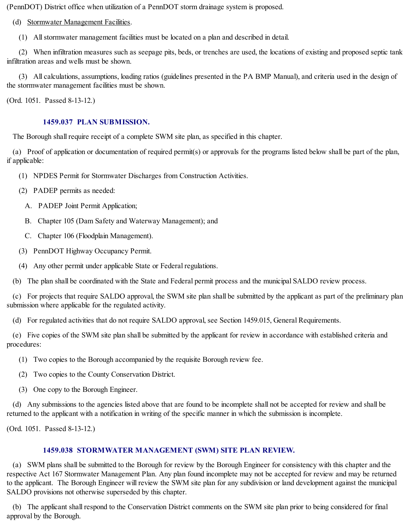(PennDOT) District office when utilization of a PennDOT storm drainage system is proposed.

(d) Stormwater Management Facilities.

(1) Allstormwater management facilities must be located on a plan and described in detail.

(2) When infiltration measures such as seepage pits, beds, or trenches are used, the locations of existing and proposed septic tank infiltration areas and wells must be shown.

(3) All calculations, assumptions, loading ratios (guidelines presented in the PA BMP Manual), and criteria used in the design of the stormwater management facilities must be shown.

(Ord. 1051. Passed 8-13-12.)

### **1459.037 PLAN SUBMISSION.**

The Borough shall require receipt of a complete SWM site plan, as specified in this chapter.

(a) Proof of application or documentation of required permit(s) or approvals for the programs listed below shall be part of the plan, if applicable:

- (1) NPDES Permit for Stormwater Discharges from Construction Activities.
- (2) PADEP permits as needed:
	- A. PADEP Joint Permit Application;
	- B. Chapter 105 (Dam Safety and Waterway Management); and
	- C. Chapter 106 (Floodplain Management).
- (3) PennDOT Highway Occupancy Permit.
- (4) Any other permit under applicable State or Federal regulations.

(b) The plan shall be coordinated with the State and Federal permit process and the municipal SALDO review process.

(c) For projects that require SALDO approval, the SWM site plan shall be submitted by the applicant as part of the preliminary plan submission where applicable for the regulated activity.

(d) For regulated activities that do not require SALDO approval, see Section 1459.015, General Requirements.

(e) Five copies of the SWM site plan shall be submitted by the applicant for review in accordance with established criteria and procedures:

- (1) Two copies to the Borough accompanied by the requisite Borough review fee.
- (2) Two copies to the County Conservation District.
- (3) One copy to the Borough Engineer.

(d) Any submissions to the agencies listed above that are found to be incomplete shall not be accepted for review and shall be returned to the applicant with a notification in writing of the specific manner in which the submission is incomplete.

(Ord. 1051. Passed 8-13-12.)

# **1459.038 STORMWATER MANAGEMENT (SWM) SITE PLAN REVIEW.**

(a) SWM plans shall be submitted to the Borough for review by the Borough Engineer for consistency with this chapter and the respective Act 167 Stormwater Management Plan. Any plan found incomplete may not be accepted for review and may be returned to the applicant. The Borough Engineer will review the SWM site plan for any subdivision or land development against the municipal SALDO provisions not otherwise superseded by this chapter.

(b) The applicant shall respond to the Conservation District comments on the SWM site plan prior to being considered for final approval by the Borough.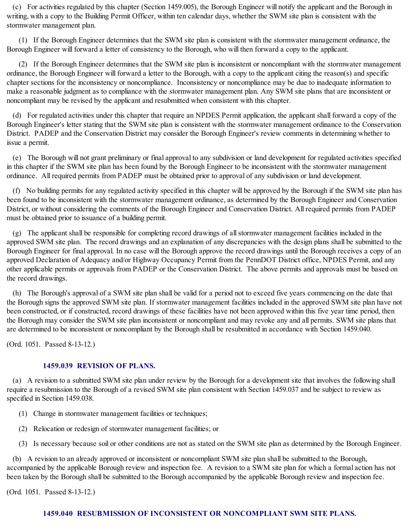(c) For activities regulated by this chapter (Section 1459.005), the Borough Engineer will notify the applicant and the Borough in writing, with a copy to the Building Permit Officer, within ten calendar days, whether the SWM site plan is consistent with the stormwater management plan.

(1) If the Borough Engineer determines that the SWM site plan is consistent with the stormwater management ordinance, the Borough Engineer will forward a letter of consistency to the Borough, who will then forward a copy to the applicant.

(2) If the Borough Engineer determines that the SWM site plan is inconsistent or noncompliant with the stormwater management ordinance, the Borough Engineer will forward a letter to the Borough, with a copy to the applicant citing the reason(s) and specific chapter sections for the inconsistency or noncompliance. Inconsistency or noncompliance may be due to inadequate information to make a reasonable judgment as to compliance with the stormwater management plan. Any SWM site plans that are inconsistent or noncompliant may be revised by the applicant and resubmitted when consistent with this chapter.

(d) For regulated activities under this chapter that require an NPDES Permit application, the applicant shall forward a copy of the Borough Engineer's letter stating that the SWM site plan is consistent with the stormwater management ordinance to the Conservation District. PADEP and the Conservation District may consider the Borough Engineer's review comments in determining whether to issue a permit.

(e) The Borough will not grant preliminary or final approval to any subdivision or land development for regulated activities specified in this chapter if the SWM site plan has been found by the Borough Engineer to be inconsistent with the stormwater management ordinance. All required permits from PADEP must be obtained prior to approval of any subdivision or land development.

(f) No building permits for any regulated activity specified in this chapter will be approved by the Borough if the SWM site plan has been found to be inconsistent with the stormwater management ordinance, as determined by the Borough Engineer and Conservation District, or without considering the comments of the Borough Engineer and Conservation District. All required permits from PADEP must be obtained prior to issuance of a building permit.

(g) The applicant shall be responsible for completing record drawings of allstormwater management facilities included in the approved SWM site plan. The record drawings and an explanation of any discrepancies with the design plans shall be submitted to the Borough Engineer for final approval. In no case will the Borough approve the record drawings until the Borough receives a copy of an approved Declaration of Adequacy and/or Highway Occupancy Permit from the PennDOT District office, NPDES Permit, and any other applicable permits or approvals from PADEP or the Conservation District. The above permits and approvals must be based on the record drawings.

(h) The Borough's approval of a SWM site plan shall be valid for a period not to exceed five years commencing on the date that the Borough signs the approved SWM site plan. If stormwater management facilities included in the approved SWM site plan have not been constructed, or if constructed, record drawings of these facilities have not been approved within this five year time period, then the Borough may consider the SWM site plan inconsistent or noncompliant and may revoke any and all permits. SWM site plans that are determined to be inconsistent or noncompliant by the Borough shall be resubmitted in accordance with Section 1459.040.

(Ord. 1051. Passed 8-13-12.)

### **1459.039 REVISION OF PLANS.**

(a) A revision to a submitted SWM site plan under review by the Borough for a development site that involves the following shall require a resubmission to the Borough of a revised SWM site plan consistent with Section 1459.037 and be subject to review as specified in Section 1459.038.

- (1) Change in stormwater management facilities or techniques;
- (2) Relocation or redesign of stormwater management facilities; or
- (3) Is necessary because soil or other conditions are not as stated on the SWM site plan as determined by the Borough Engineer.

(b) A revision to an already approved or inconsistent or noncompliant SWM site plan shall be submitted to the Borough, accompanied by the applicable Borough review and inspection fee. A revision to a SWM site plan for which a formal action has not been taken by the Borough shall be submitted to the Borough accompanied by the applicable Borough review and inspection fee.

(Ord. 1051. Passed 8-13-12.)

# **1459.040 RESUBMISSION OF INCONSISTENT OR NONCOMPLIANT SWM SITE PLANS.**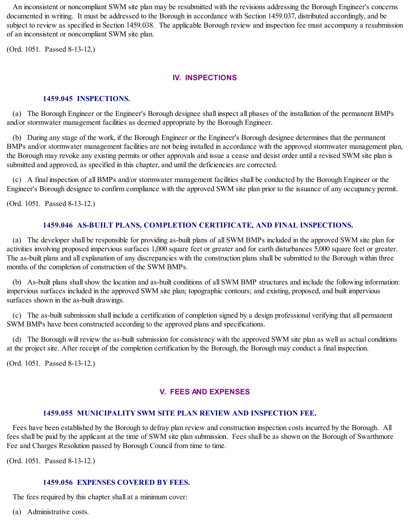An inconsistent or noncompliant SWM site plan may be resubmitted with the revisions addressing the Borough Engineer's concerns documented in writing. It must be addressed to the Borough in accordance with Section 1459.037, distributed accordingly, and be subject to review as specified in Section 1459.038. The applicable Borough review and inspection fee must accompany a resubmission of an inconsistent or noncompliant SWM site plan.

(Ord. 1051. Passed 8-13-12.)

### **IV. INSPECTIONS**

#### **1459.045 INSPECTIONS.**

(a) The Borough Engineer or the Engineer's Borough designee shall inspect all phases of the installation of the permanent BMPs and/or stormwater management facilities as deemed appropriate by the Borough Engineer.

(b) During any stage of the work, if the Borough Engineer or the Engineer's Borough designee determines that the permanent BMPs and/or stormwater management facilities are not being installed in accordance with the approved stormwater management plan, the Borough may revoke any existing permits or other approvals and issue a cease and desist order until a revised SWM site plan is submitted and approved, as specified in this chapter, and until the deficiencies are corrected.

(c) A final inspection of all BMPs and/or stormwater management facilities shall be conducted by the Borough Engineer or the Engineer's Borough designee to confirm compliance with the approved SWM site plan prior to the issuance of any occupancy permit.

(Ord. 1051. Passed 8-13-12.)

### **1459.046 AS-BUILT PLANS, COMPLETION CERTIFICATE, AND FINAL INSPECTIONS.**

(a) The developer shall be responsible for providing as-built plans of all SWM BMPs included in the approved SWM site plan for activities involving proposed impervious surfaces 1,000 square feet or greater and for earth disturbances 5,000 square feet or greater. The as-built plans and all explanation of any discrepancies with the construction plans shall be submitted to the Borough within three months of the completion of construction of the SWM BMPs.

(b) As-built plans shall show the location and as-built conditions of all SWM BMP structures and include the following information: impervious surfaces included in the approved SWM site plan; topographic contours; and existing, proposed, and built impervious surfaces shown in the as-built drawings.

(c) The as-built submission shall include a certification of completion signed by a design professional verifying that all permanent SWM BMPs have been constructed according to the approved plans and specifications.

(d) The Borough will review the as-built submission for consistency with the approved SWM site plan as well as actual conditions at the project site. After receipt of the completion certification by the Borough, the Borough may conduct a final inspection.

(Ord. 1051. Passed 8-13-12.)

### **V. FEES AND EXPENSES**

### **1459.055 MUNICIPALITY SWM SITE PLAN REVIEW AND INSPECTION FEE.**

Fees have been established by the Borough to defray plan review and construction inspection costs incurred by the Borough. All fees shall be paid by the applicant at the time of SWM site plan submission. Fees shall be as shown on the Borough of Swarthmore Fee and Charges Resolution passed by Borough Council from time to time.

(Ord. 1051. Passed 8-13-12.)

### **1459.056 EXPENSES COVERED BY FEES.**

The fees required by this chapter shall at a minimum cover:

(a) Administrative costs.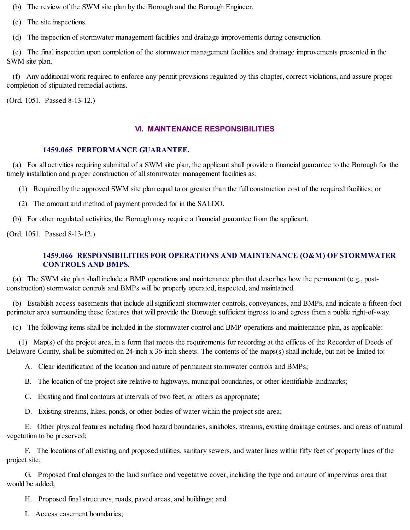(b) The review of the SWM site plan by the Borough and the Borough Engineer.

(c) The site inspections.

(d) The inspection of stormwater management facilities and drainage improvements during construction.

(e) The final inspection upon completion of the stormwater management facilities and drainage improvements presented in the SWM site plan.

(f) Any additional work required to enforce any permit provisions regulated by this chapter, correct violations, and assure proper completion of stipulated remedial actions.

(Ord. 1051. Passed 8-13-12.)

# **VI. MAINTENANCE RESPONSIBILITIES**

### **1459.065 PERFORMANCE GUARANTEE.**

(a) For all activities requiring submittal of a SWM site plan, the applicant shall provide a financial guarantee to the Borough for the timely installation and proper construction of all stormwater management facilities as:

- (1) Required by the approved SWM site plan equal to or greater than the full construction cost of the required facilities; or
- (2) The amount and method of payment provided for in the SALDO.
- (b) For other regulated activities, the Borough may require a financial guarantee from the applicant.

(Ord. 1051. Passed 8-13-12.)

# **1459.066 RESPONSIBILITIES FOR OPERATIONS AND MAINTENANCE (O&M) OF STORMWATER CONTROLS AND BMPS.**

(a) The SWM site plan shall include a BMP operations and maintenance plan that describes how the permanent (e.g., postconstruction) stormwater controls and BMPs will be properly operated, inspected, and maintained.

(b) Establish access easements that include allsignificant stormwater controls, conveyances, and BMPs, and indicate a fifteen-foot perimeter area surrounding these features that will provide the Borough sufficient ingress to and egress from a public right-of-way.

(c) The following items shall be included in the stormwater control and BMP operations and maintenance plan, as applicable:

(1) Map(s) of the project area, in a form that meets the requirements for recording at the offices of the Recorder of Deeds of Delaware County, shall be submitted on 24-inch x 36-inch sheets. The contents of the maps(s) shall include, but not be limited to:

A. Clear identification of the location and nature of permanent stormwater controls and BMPs;

B. The location of the project site relative to highways, municipal boundaries, or other identifiable landmarks;

C. Existing and final contours at intervals of two feet, or others as appropriate;

D. Existing streams, lakes, ponds, or other bodies of water within the project site area;

E. Other physical features including flood hazard boundaries, sinkholes, streams, existing drainage courses, and areas of natural vegetation to be preserved;

F. The locations of all existing and proposed utilities, sanitary sewers, and water lines within fifty feet of property lines of the project site;

G. Proposed final changes to the land surface and vegetative cover, including the type and amount of impervious area that would be added;

H. Proposed final structures, roads, paved areas, and buildings; and

I. Access easement boundaries;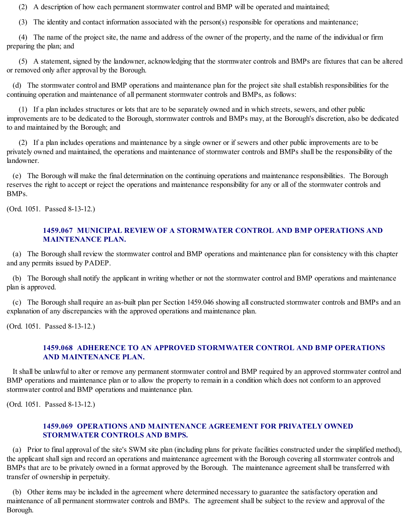(2) A description of how each permanent stormwater control and BMP will be operated and maintained;

(3) The identity and contact information associated with the person(s) responsible for operations and maintenance;

(4) The name of the project site, the name and address of the owner of the property, and the name of the individual or firm preparing the plan; and

(5) A statement, signed by the landowner, acknowledging that the stormwater controls and BMPs are fixtures that can be altered or removed only after approval by the Borough.

(d) The stormwater control and BMP operations and maintenance plan for the project site shall establish responsibilities for the continuing operation and maintenance of all permanent stormwater controls and BMPs, as follows:

(1) If a plan includes structures or lots that are to be separately owned and in which streets, sewers, and other public improvements are to be dedicated to the Borough, stormwater controls and BMPs may, at the Borough's discretion, also be dedicated to and maintained by the Borough; and

(2) If a plan includes operations and maintenance by a single owner or if sewers and other public improvements are to be privately owned and maintained, the operations and maintenance of stormwater controls and BMPs shall be the responsibility of the landowner.

(e) The Borough will make the final determination on the continuing operations and maintenance responsibilities. The Borough reserves the right to accept or reject the operations and maintenance responsibility for any or all of the stormwater controls and BMPs.

(Ord. 1051. Passed 8-13-12.)

### **1459.067 MUNICIPAL REVIEW OF A STORMWATER CONTROL AND BMP OPERATIONS AND MAINTENANCE PLAN.**

(a) The Borough shall review the stormwater control and BMP operations and maintenance plan for consistency with this chapter and any permits issued by PADEP.

(b) The Borough shall notify the applicant in writing whether or not the stormwater control and BMP operations and maintenance plan is approved.

(c) The Borough shall require an as-built plan per Section 1459.046 showing all constructed stormwater controls and BMPs and an explanation of any discrepancies with the approved operations and maintenance plan.

(Ord. 1051. Passed 8-13-12.)

# **1459.068 ADHERENCE TO AN APPROVED STORMWATER CONTROL AND BMP OPERATIONS AND MAINTENANCE PLAN.**

It shall be unlawful to alter or remove any permanent stormwater control and BMP required by an approved stormwater control and BMP operations and maintenance plan or to allow the property to remain in a condition which does not conform to an approved stormwater control and BMP operations and maintenance plan.

(Ord. 1051. Passed 8-13-12.)

### **1459.069 OPERATIONS AND MAINTENANCE AGREEMENT FOR PRIVATELY OWNED STORMWATER CONTROLS AND BMPS.**

(a) Prior to final approval of the site's SWM site plan (including plans for private facilities constructed under the simplified method), the applicant shall sign and record an operations and maintenance agreement with the Borough covering all stormwater controls and BMPs that are to be privately owned in a format approved by the Borough. The maintenance agreement shall be transferred with transfer of ownership in perpetuity.

(b) Other items may be included in the agreement where determined necessary to guarantee the satisfactory operation and maintenance of all permanent stormwater controls and BMPs. The agreement shall be subject to the review and approval of the Borough.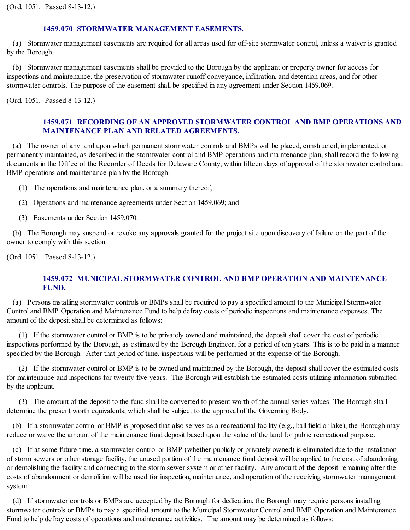(Ord. 1051. Passed 8-13-12.)

### **1459.070 STORMWATER MANAGEMENT EASEMENTS.**

(a) Stormwater management easements are required for all areas used for off-site stormwater control, unless a waiver is granted by the Borough.

(b) Stormwater management easements shall be provided to the Borough by the applicant or property owner for access for inspections and maintenance, the preservation of stormwater runoff conveyance, infiltration, and detention areas, and for other stormwater controls. The purpose of the easement shall be specified in any agreement under Section 1459.069.

(Ord. 1051. Passed 8-13-12.)

### **1459.071 RECORDING OF AN APPROVED STORMWATER CONTROL AND BMP OPERATIONS AND MAINTENANCE PLAN AND RELATED AGREEMENTS.**

(a) The owner of any land upon which permanent stormwater controls and BMPs will be placed, constructed, implemented, or permanently maintained, as described in the stormwater control and BMP operations and maintenance plan, shall record the following documents in the Office of the Recorder of Deeds for Delaware County, within fifteen days of approval of the stormwater control and BMP operations and maintenance plan by the Borough:

- (1) The operations and maintenance plan, or a summary thereof;
- (2) Operations and maintenance agreements under Section 1459.069; and
- (3) Easements under Section 1459.070.

(b) The Borough may suspend or revoke any approvals granted for the project site upon discovery of failure on the part of the owner to comply with this section.

(Ord. 1051. Passed 8-13-12.)

### **1459.072 MUNICIPAL STORMWATER CONTROL AND BMP OPERATION AND MAINTENANCE FUND.**

(a) Persons installing stormwater controls or BMPs shall be required to pay a specified amount to the Municipal Stormwater Control and BMP Operation and Maintenance Fund to help defray costs of periodic inspections and maintenance expenses. The amount of the deposit shall be determined as follows:

(1) If the stormwater control or BMP is to be privately owned and maintained, the deposit shall cover the cost of periodic inspections performed by the Borough, as estimated by the Borough Engineer, for a period of ten years. This is to be paid in a manner specified by the Borough. After that period of time, inspections will be performed at the expense of the Borough.

(2) If the stormwater control or BMP is to be owned and maintained by the Borough, the deposit shall cover the estimated costs for maintenance and inspections for twenty-five years. The Borough will establish the estimated costs utilizing information submitted by the applicant.

(3) The amount of the deposit to the fund shall be converted to present worth of the annualseries values. The Borough shall determine the present worth equivalents, which shall be subject to the approval of the Governing Body.

(b) If a stormwater control or BMP is proposed that also serves as a recreational facility (e.g., ball field or lake), the Borough may reduce or waive the amount of the maintenance fund deposit based upon the value of the land for public recreational purpose.

(c) If at some future time, a stormwater control or BMP (whether publicly or privately owned) is eliminated due to the installation of storm sewers or other storage facility, the unused portion of the maintenance fund deposit will be applied to the cost of abandoning or demolishing the facility and connecting to the storm sewer system or other facility. Any amount of the deposit remaining after the costs of abandonment or demolition will be used for inspection, maintenance, and operation of the receiving stormwater management system.

(d) If stormwater controls or BMPs are accepted by the Borough for dedication, the Borough may require persons installing stormwater controls or BMPs to pay a specified amount to the Municipal Stormwater Control and BMP Operation and Maintenance Fund to help defray costs of operations and maintenance activities. The amount may be determined as follows: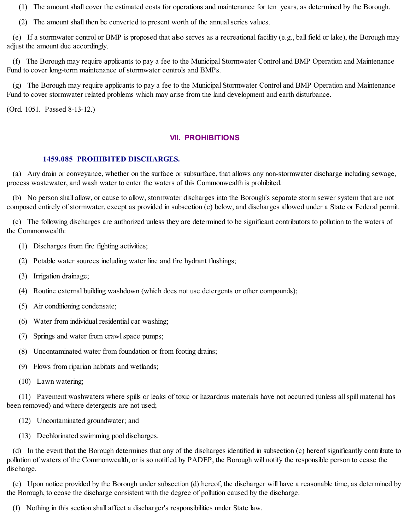(1) The amount shall cover the estimated costs for operations and maintenance for ten years, as determined by the Borough.

(2) The amount shall then be converted to present worth of the annualseries values.

(e) If a stormwater control or BMP is proposed that also serves as a recreational facility (e.g., ball field or lake), the Borough may adjust the amount due accordingly.

(f) The Borough may require applicants to pay a fee to the Municipal Stormwater Control and BMP Operation and Maintenance Fund to cover long-term maintenance of stormwater controls and BMPs.

(g) The Borough may require applicants to pay a fee to the Municipal Stormwater Control and BMP Operation and Maintenance Fund to cover stormwater related problems which may arise from the land development and earth disturbance.

(Ord. 1051. Passed 8-13-12.)

### **VII. PROHIBITIONS**

#### **1459.085 PROHIBITED DISCHARGES.**

(a) Any drain or conveyance, whether on the surface or subsurface, that allows any non-stormwater discharge including sewage, process wastewater, and wash water to enter the waters of this Commonwealth is prohibited.

(b) No person shall allow, or cause to allow, stormwater discharges into the Borough's separate storm sewer system that are not composed entirely of stormwater, except as provided in subsection (c) below, and discharges allowed under a State or Federal permit.

(c) The following discharges are authorized unless they are determined to be significant contributors to pollution to the waters of the Commonwealth:

- (1) Discharges from fire fighting activities;
- (2) Potable water sources including water line and fire hydrant flushings;
- (3) Irrigation drainage;
- (4) Routine external building washdown (which does not use detergents or other compounds);
- (5) Air conditioning condensate;
- (6) Water from individual residential car washing;
- (7) Springs and water from crawl space pumps;
- (8) Uncontaminated water from foundation or from footing drains;
- (9) Flows from riparian habitats and wetlands;
- (10) Lawn watering;

(11) Pavement washwaters where spills or leaks of toxic or hazardous materials have not occurred (unless allspill material has been removed) and where detergents are not used;

- (12) Uncontaminated groundwater; and
- (13) Dechlorinated swimming pool discharges.

(d) In the event that the Borough determines that any of the discharges identified in subsection (c) hereof significantly contribute to pollution of waters of the Commonwealth, or is so notified by PADEP, the Borough will notify the responsible person to cease the discharge.

(e) Upon notice provided by the Borough under subsection (d) hereof, the discharger will have a reasonable time, as determined by the Borough, to cease the discharge consistent with the degree of pollution caused by the discharge.

(f) Nothing in this section shall affect a discharger's responsibilities under State law.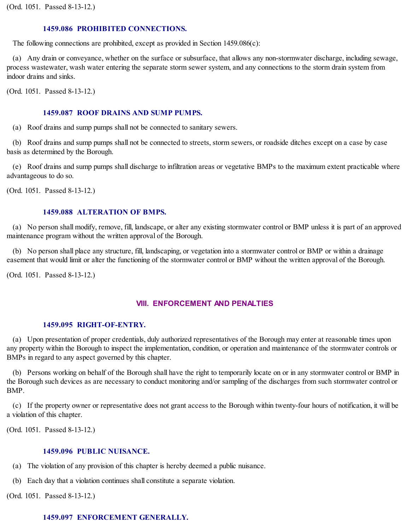(Ord. 1051. Passed 8-13-12.)

#### **1459.086 PROHIBITED CONNECTIONS.**

The following connections are prohibited, except as provided in Section 1459.086(c):

(a) Any drain or conveyance, whether on the surface or subsurface, that allows any non-stormwater discharge, including sewage, process wastewater, wash water entering the separate storm sewer system, and any connections to the storm drain system from indoor drains and sinks.

(Ord. 1051. Passed 8-13-12.)

### **1459.087 ROOF DRAINS AND SUMP PUMPS.**

(a) Roof drains and sump pumps shall not be connected to sanitary sewers.

(b) Roof drains and sump pumps shall not be connected to streets, storm sewers, or roadside ditches except on a case by case basis as determined by the Borough.

(e) Roof drains and sump pumps shall discharge to infiltration areas or vegetative BMPs to the maximum extent practicable where advantageous to do so.

(Ord. 1051. Passed 8-13-12.)

#### **1459.088 ALTERATION OF BMPS.**

(a) No person shall modify, remove, fill, landscape, or alter any existing stormwater control or BMP unless it is part of an approved maintenance program without the written approval of the Borough.

(b) No person shall place any structure, fill, landscaping, or vegetation into a stormwater control or BMP or within a drainage easement that would limit or alter the functioning of the stormwater control or BMP without the written approval of the Borough.

(Ord. 1051. Passed 8-13-12.)

### **VIII. ENFORCEMENT AND PENALTIES**

#### **1459.095 RIGHT-OF-ENTRY.**

(a) Upon presentation of proper credentials, duly authorized representatives of the Borough may enter at reasonable times upon any property within the Borough to inspect the implementation, condition, or operation and maintenance of the stormwater controls or BMPs in regard to any aspect governed by this chapter.

(b) Persons working on behalf of the Borough shall have the right to temporarily locate on or in any stormwater control or BMP in the Borough such devices as are necessary to conduct monitoring and/or sampling of the discharges from such stormwater control or BMP.

(c) If the property owner or representative does not grant access to the Borough within twenty-four hours of notification, it will be a violation of this chapter.

(Ord. 1051. Passed 8-13-12.)

### **1459.096 PUBLIC NUISANCE.**

- (a) The violation of any provision of this chapter is hereby deemed a public nuisance.
- (b) Each day that a violation continues shall constitute a separate violation.

(Ord. 1051. Passed 8-13-12.)

### **1459.097 ENFORCEMENT GENERALLY.**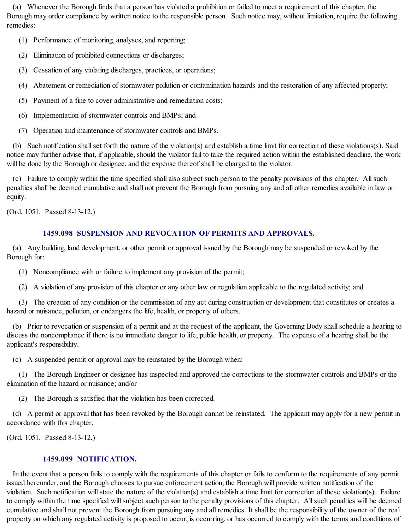(a) Whenever the Borough finds that a person has violated a prohibition or failed to meet a requirement of this chapter, the Borough may order compliance by written notice to the responsible person. Such notice may, without limitation, require the following remedies:

- (1) Performance of monitoring, analyses, and reporting;
- (2) Elimination of prohibited connections or discharges;
- (3) Cessation of any violating discharges, practices, or operations;
- (4) Abatement or remediation of stormwater pollution or contamination hazards and the restoration of any affected property;
- (5) Payment of a fine to cover administrative and remediation costs;
- (6) Implementation of stormwater controls and BMPs; and
- (7) Operation and maintenance of stormwater controls and BMPs.

(b) Such notification shallset forth the nature of the violation(s) and establish a time limit for correction of these violations(s). Said notice may further advise that, if applicable, should the violator fail to take the required action within the established deadline, the work will be done by the Borough or designee, and the expense thereof shall be charged to the violator.

(c) Failure to comply within the time specified shall also subject such person to the penalty provisions of this chapter. Allsuch penalties shall be deemed cumulative and shall not prevent the Borough from pursuing any and all other remedies available in law or equity.

(Ord. 1051. Passed 8-13-12.)

### **1459.098 SUSPENSION AND REVOCATION OF PERMITS AND APPROVALS.**

(a) Any building, land development, or other permit or approval issued by the Borough may be suspended or revoked by the Borough for:

(1) Noncompliance with or failure to implement any provision of the permit;

(2) A violation of any provision of this chapter or any other law or regulation applicable to the regulated activity; and

(3) The creation of any condition or the commission of any act during construction or development that constitutes or creates a hazard or nuisance, pollution, or endangers the life, health, or property of others.

(b) Prior to revocation or suspension of a permit and at the request of the applicant, the Governing Body shallschedule a hearing to discuss the noncompliance if there is no immediate danger to life, public health, or property. The expense of a hearing shall be the applicant's responsibility.

(c) A suspended permit or approval may be reinstated by the Borough when:

(1) The Borough Engineer or designee has inspected and approved the corrections to the stormwater controls and BMPs or the elimination of the hazard or nuisance; and/or

(2) The Borough is satisfied that the violation has been corrected.

(d) A permit or approval that has been revoked by the Borough cannot be reinstated. The applicant may apply for a new permit in accordance with this chapter.

(Ord. 1051. Passed 8-13-12.)

### **1459.099 NOTIFICATION.**

In the event that a person fails to comply with the requirements of this chapter or fails to conform to the requirements of any permit issued hereunder, and the Borough chooses to pursue enforcement action, the Borough will provide written notification of the violation. Such notification willstate the nature of the violation(s) and establish a time limit for correction of these violation(s). Failure to comply within the time specified willsubject such person to the penalty provisions of this chapter. Allsuch penalties will be deemed cumulative and shall not prevent the Borough from pursuing any and all remedies. It shall be the responsibility of the owner of the real property on which any regulated activity is proposed to occur, is occurring, or has occurred to comply with the terms and conditions of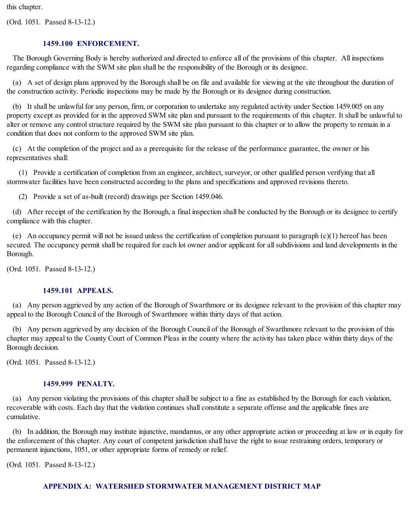this chapter.

(Ord. 1051. Passed 8-13-12.)

### **1459.100 ENFORCEMENT.**

The Borough Governing Body is hereby authorized and directed to enforce all of the provisions of this chapter. All inspections regarding compliance with the SWM site plan shall be the responsibility of the Borough or its designee.

(a) A set of design plans approved by the Borough shall be on file and available for viewing at the site throughout the duration of the construction activity. Periodic inspections may be made by the Borough or its designee during construction.

(b) It shall be unlawful for any person, firm, or corporation to undertake any regulated activity under Section 1459.005 on any property except as provided for in the approved SWM site plan and pursuant to the requirements of this chapter. It shall be unlawful to alter or remove any control structure required by the SWM site plan pursuant to this chapter or to allow the property to remain in a condition that does not conform to the approved SWM site plan.

(c) At the completion of the project and as a prerequisite for the release of the performance guarantee, the owner or his representatives shall:

(1) Provide a certification of completion from an engineer, architect, surveyor, or other qualified person verifying that all stormwater facilities have been constructed according to the plans and specifications and approved revisions thereto.

(2) Provide a set of as-built (record) drawings per Section 1459.046.

(d) After receipt of the certification by the Borough, a final inspection shall be conducted by the Borough or its designee to certify compliance with this chapter.

(e) An occupancy permit will not be issued unless the certification of completion pursuant to paragraph (c)(1) hereof has been secured. The occupancy permit shall be required for each lot owner and/or applicant for all subdivisions and land developments in the Borough.

(Ord. 1051. Passed 8-13-12.)

### **1459.101 APPEALS.**

(a) Any person aggrieved by any action of the Borough of Swarthmore or its designee relevant to the provision of this chapter may appeal to the Borough Council of the Borough of Swarthmore within thirty days of that action.

(b) Any person aggrieved by any decision of the Borough Council of the Borough of Swarthmore relevant to the provision of this chapter may appeal to the County Court of Common Pleas in the county where the activity has taken place within thirty days of the Borough decision.

(Ord. 1051. Passed 8-13-12.)

### **1459.999 PENALTY.**

(a) Any person violating the provisions of this chapter shall be subject to a fine as established by the Borough for each violation, recoverable with costs. Each day that the violation continues shall constitute a separate offense and the applicable fines are cumulative.

(b) In addition, the Borough may institute injunctive, mandamus, or any other appropriate action or proceeding at law or in equity for the enforcement of this chapter. Any court of competent jurisdiction shall have the right to issue restraining orders, temporary or permanent injunctions, 1051, or other appropriate forms of remedy or relief.

(Ord. 1051. Passed 8-13-12.)

### **APPENDIX A: WATERSHED STORMWATER MANAGEMENT DISTRICT MAP**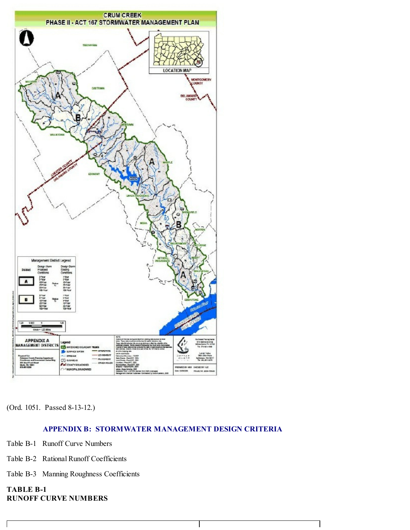

(Ord. 1051. Passed 8-13-12.)

### **APPENDIX B: STORMWATER MANAGEMENT DESIGN CRITERIA**

H

Table B-1 Runoff Curve Numbers

- Table B-2 Rational Runoff Coefficients
- Table B-3 Manning Roughness Coefficients

# **TABLE B-1 RUNOFF CURVE NUMBERS**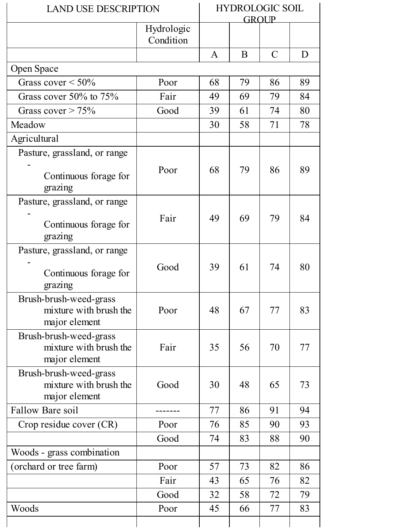| <b>LAND USE DESCRIPTION</b>                                       |                         |    | <b>HYDROLOGIC SOIL</b><br><b>GROUP</b> |               |    |  |
|-------------------------------------------------------------------|-------------------------|----|----------------------------------------|---------------|----|--|
|                                                                   | Hydrologic<br>Condition |    |                                        |               |    |  |
|                                                                   |                         | A  | B                                      | $\mathcal{C}$ | D  |  |
| Open Space                                                        |                         |    |                                        |               |    |  |
| Grass cover $\leq 50\%$                                           | Poor                    | 68 | 79                                     | 86            | 89 |  |
| Grass cover $50\%$ to $75\%$                                      | Fair                    | 49 | 69                                     | 79            | 84 |  |
| Grass cover $> 75\%$                                              | Good                    | 39 | 61                                     | 74            | 80 |  |
| Meadow                                                            |                         | 30 | 58                                     | 71            | 78 |  |
| Agricultural                                                      |                         |    |                                        |               |    |  |
| Pasture, grassland, or range                                      |                         |    |                                        |               |    |  |
| Continuous forage for<br>grazing                                  | Poor                    | 68 | 79                                     | 86            | 89 |  |
| Pasture, grassland, or range                                      |                         |    |                                        |               |    |  |
| Continuous forage for<br>grazing                                  | Fair                    | 49 | 69                                     | 79            | 84 |  |
| Pasture, grassland, or range                                      |                         |    |                                        |               |    |  |
| Continuous forage for<br>grazing                                  | Good                    | 39 | 61                                     | 74            | 80 |  |
| Brush-brush-weed-grass<br>mixture with brush the<br>major element | Poor                    | 48 | 67                                     | 77            | 83 |  |
| Brush-brush-weed-grass<br>mixture with brush the<br>major element | Fair                    | 35 | 56                                     | 70            | 77 |  |
| Brush-brush-weed-grass<br>mixture with brush the<br>major element | Good                    | 30 | 48                                     | 65            | 73 |  |
| <b>Fallow Bare soil</b>                                           |                         | 77 | 86                                     | 91            | 94 |  |
| Crop residue cover (CR)                                           | Poor                    | 76 | 85                                     | 90            | 93 |  |
|                                                                   | Good                    | 74 | 83                                     | 88            | 90 |  |
| Woods - grass combination                                         |                         |    |                                        |               |    |  |
| (orchard or tree farm)                                            | Poor                    | 57 | 73                                     | 82            | 86 |  |
|                                                                   | Fair                    | 43 | 65                                     | 76            | 82 |  |
|                                                                   | Good                    | 32 | 58                                     | 72            | 79 |  |
| Woods                                                             | Poor                    | 45 | 66                                     | 77            | 83 |  |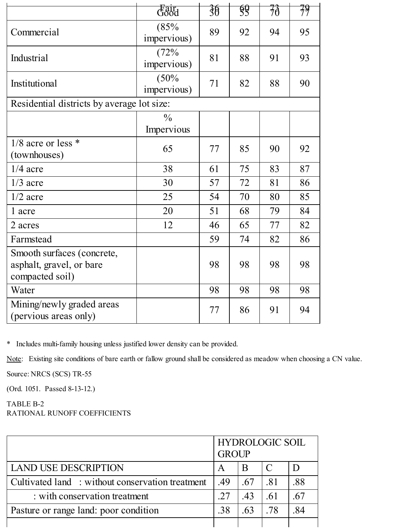|                                                                           | Fair<br>Good                | $\frac{1}{30}$ | <u>şğ</u> | $\overline{\mathcal{H}}$ | 79 |
|---------------------------------------------------------------------------|-----------------------------|----------------|-----------|--------------------------|----|
| Commercial                                                                | (85%<br>impervious)         | 89             | 92        | 94                       | 95 |
| Industrial                                                                | (72%<br>impervious)         | 81             | 88        | 91                       | 93 |
| Institutional                                                             | (50%<br>impervious)         | 71             | 82        | 88                       | 90 |
| Residential districts by average lot size:                                |                             |                |           |                          |    |
|                                                                           | $\frac{0}{0}$<br>Impervious |                |           |                          |    |
| $1/8$ acre or less $*$<br>(townhouses)                                    | 65                          | 77             | 85        | 90                       | 92 |
| $1/4$ acre                                                                | 38                          | 61             | 75        | 83                       | 87 |
| $1/3$ acre                                                                | 30                          | 57             | 72        | 81                       | 86 |
| $1/2$ acre                                                                | 25                          | 54             | 70        | 80                       | 85 |
| 1 acre                                                                    | 20                          | 51             | 68        | 79                       | 84 |
| 2 acres                                                                   | 12                          | 46             | 65        | 77                       | 82 |
| Farmstead                                                                 |                             | 59             | 74        | 82                       | 86 |
| Smooth surfaces (concrete,<br>asphalt, gravel, or bare<br>compacted soil) |                             | 98             | 98        | 98                       | 98 |
| Water                                                                     |                             | 98             | 98        | 98                       | 98 |
| Mining/newly graded areas<br>(pervious areas only)                        |                             | 77             | 86        | 91                       | 94 |

\* Includes multi-family housing unless justified lower density can be provided.

Note: Existing site conditions of bare earth or fallow ground shall be considered as meadow when choosing a CN value.

Source: NRCS (SCS) TR-55

(Ord. 1051. Passed 8-13-12.)

# TABLE B-2 RATIONAL RUNOFF COEFFICIENTS

|                                                 | <b>HYDROLOGIC SOIL</b><br><b>GROUP</b> |     |     |     |
|-------------------------------------------------|----------------------------------------|-----|-----|-----|
| <b>LAND USE DESCRIPTION</b>                     |                                        | B   |     |     |
| Cultivated land: without conservation treatment | .49                                    | .67 | .81 | .88 |
| : with conservation treatment                   | 27                                     | .43 | .61 | .67 |
| Pasture or range land: poor condition           | 38                                     | .63 | .78 | .84 |
|                                                 |                                        |     |     |     |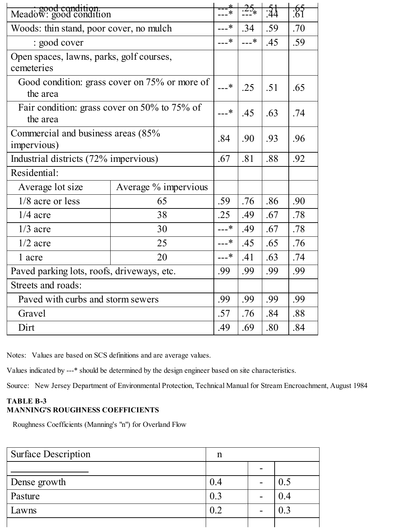| sood condition.<br>Meadow: good condition              |                                               |        |        | :44 | <u>-65</u><br>.61 |
|--------------------------------------------------------|-----------------------------------------------|--------|--------|-----|-------------------|
| Woods: thin stand, poor cover, no mulch                |                                               |        | .34    | .59 | .70               |
|                                                        |                                               | ---*   | $---*$ | .45 | .59               |
| : good cover                                           |                                               |        |        |     |                   |
| Open spaces, lawns, parks, golf courses,<br>cemeteries |                                               |        |        |     |                   |
| the area                                               | Good condition: grass cover on 75% or more of | $---*$ | .25    | .51 | .65               |
| the area                                               | Fair condition: grass cover on 50% to 75% of  | ---*   | .45    | .63 | .74               |
| Commercial and business areas (85%<br>impervious)      |                                               |        | .90    | .93 | .96               |
| Industrial districts (72% impervious)                  |                                               |        | .81    | .88 | .92               |
| Residential:                                           |                                               |        |        |     |                   |
| Average lot size                                       | Average % impervious                          |        |        |     |                   |
| 1/8 acre or less                                       | 65                                            | .59    | .76    | .86 | .90               |
| $1/4$ acre                                             | 38                                            | .25    | .49    | .67 | .78               |
| $1/3$ acre                                             | 30                                            | ---*   | .49    | .67 | .78               |
| $1/2$ acre                                             | 25                                            | ---*   | .45    | .65 | .76               |
| 20<br>1 acre                                           |                                               |        | .41    | .63 | .74               |
| Paved parking lots, roofs, driveways, etc.             |                                               |        | .99    | .99 | .99               |
| Streets and roads:                                     |                                               |        |        |     |                   |
| Payed with curbs and storm sewers                      |                                               |        | .99    | .99 | .99               |
| Gravel                                                 |                                               | .57    | .76    | .84 | .88               |
| Dirt                                                   |                                               | .49    | .69    | .80 | .84               |

Notes: Values are based on SCS definitions and are average values.

Values indicated by ---\* should be determined by the design engineer based on site characteristics.

Source: New Jersey Department of Environmental Protection, Technical Manual for Stream Encroachment, August 1984

# **TABLE B-3 MANNING'S ROUGHNESS COEFFICIENTS**

Roughness Coefficients (Manning's "n") for Overland Flow

| <b>Surface Description</b> | n   |                |
|----------------------------|-----|----------------|
|                            |     |                |
| Dense growth               | U.4 | 0.5            |
| Pasture                    | 0.3 | 0.4            |
| Lawns                      | 0.2 | 0 <sub>3</sub> |
|                            |     |                |